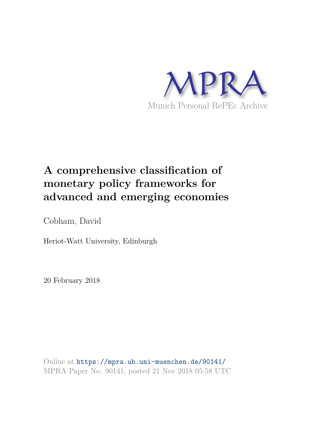

# **A comprehensive classification of monetary policy frameworks for advanced and emerging economies**

Cobham, David

Heriot-Watt University, Edinburgh

20 February 2018

Online at https://mpra.ub.uni-muenchen.de/90141/ MPRA Paper No. 90141, posted 21 Nov 2018 05:58 UTC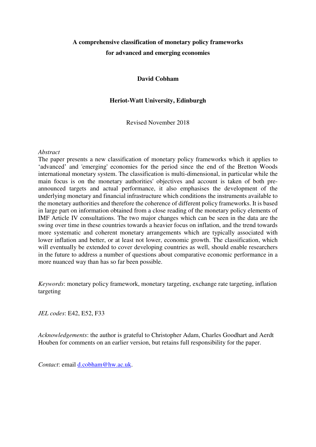# **A comprehensive classification of monetary policy frameworks for advanced and emerging economies**

**David Cobham** 

# **Heriot-Watt University, Edinburgh**

Revised November 2018

### *Abstract*

The paper presents a new classification of monetary policy frameworks which it applies to 'advanced' and 'emerging' economies for the period since the end of the Bretton Woods international monetary system. The classification is multi-dimensional, in particular while the main focus is on the monetary authorities' objectives and account is taken of both preannounced targets and actual performance, it also emphasises the development of the underlying monetary and financial infrastructure which conditions the instruments available to the monetary authorities and therefore the coherence of different policy frameworks. It is based in large part on information obtained from a close reading of the monetary policy elements of IMF Article IV consultations. The two major changes which can be seen in the data are the swing over time in these countries towards a heavier focus on inflation, and the trend towards more systematic and coherent monetary arrangements which are typically associated with lower inflation and better, or at least not lower, economic growth. The classification, which will eventually be extended to cover developing countries as well, should enable researchers in the future to address a number of questions about comparative economic performance in a more nuanced way than has so far been possible.

*Keywords*: monetary policy framework, monetary targeting, exchange rate targeting, inflation targeting

*JEL codes*: E42, E52, F33

*Acknowledgements*: the author is grateful to Christopher Adam, Charles Goodhart and Aerdt Houben for comments on an earlier version, but retains full responsibility for the paper.

*Contact*: email [d.cobham@hw.ac.uk.](mailto:d.cobham@hw.ac.uk)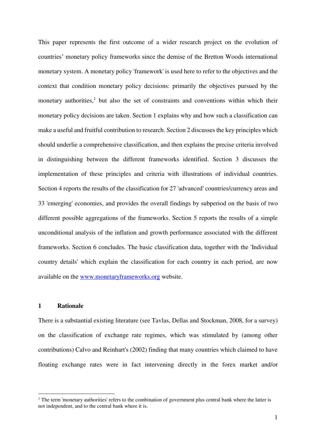This paper represents the first outcome of a wider research project on the evolution of countries' monetary policy frameworks since the demise of the Bretton Woods international monetary system. A monetary policy 'framework' is used here to refer to the objectives and the context that condition monetary policy decisions: primarily the objectives pursued by the monetary authorities,<sup>1</sup> but also the set of constraints and conventions within which their monetary policy decisions are taken. Section 1 explains why and how such a classification can make a useful and fruitful contribution to research. Section 2 discusses the key principles which should underlie a comprehensive classification, and then explains the precise criteria involved in distinguishing between the different frameworks identified. Section 3 discusses the implementation of these principles and criteria with illustrations of individual countries. Section 4 reports the results of the classification for 27 'advanced' countries/currency areas and 33 'emerging' economies, and provides the overall findings by subperiod on the basis of two different possible aggregations of the frameworks. Section 5 reports the results of a simple unconditional analysis of the inflation and growth performance associated with the different frameworks. Section 6 concludes. The basic classification data, together with the 'Individual country details' which explain the classification for each country in each period, are now available on the [www.monetaryframeworks.org](http://www.monetaryframeworks.org/) website.

# **1 Rationale**

<u>.</u>

There is a substantial existing literature (see Tavlas, Dellas and Stockman, 2008, for a survey) on the classification of exchange rate regimes, which was stimulated by (among other contributions) Calvo and Reinhart's (2002) finding that many countries which claimed to have floating exchange rates were in fact intervening directly in the forex market and/or

<sup>&</sup>lt;sup>1</sup> The term 'monetary authorities' refers to the combination of government plus central bank where the latter is not independent, and to the central bank where it is.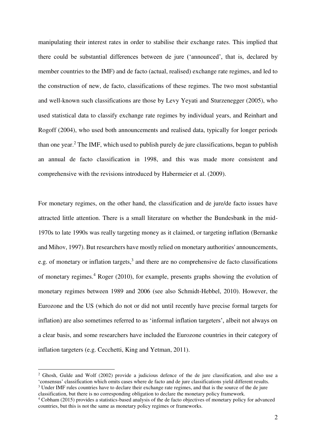manipulating their interest rates in order to stabilise their exchange rates. This implied that there could be substantial differences between de jure ('announced', that is, declared by member countries to the IMF) and de facto (actual, realised) exchange rate regimes, and led to the construction of new, de facto, classifications of these regimes. The two most substantial and well-known such classifications are those by Levy Yeyati and Sturzenegger (2005), who used statistical data to classify exchange rate regimes by individual years, and Reinhart and Rogoff (2004), who used both announcements and realised data, typically for longer periods than one year.<sup>2</sup> The IMF, which used to publish purely de jure classifications, began to publish an annual de facto classification in 1998, and this was made more consistent and comprehensive with the revisions introduced by Habermeier et al. (2009).

For monetary regimes, on the other hand, the classification and de jure/de facto issues have attracted little attention. There is a small literature on whether the Bundesbank in the mid-1970s to late 1990s was really targeting money as it claimed, or targeting inflation (Bernanke and Mihov, 1997). But researchers have mostly relied on monetary authorities' announcements, e.g. of monetary or inflation targets, $3$  and there are no comprehensive de facto classifications of monetary regimes.<sup>4</sup> Roger (2010), for example, presents graphs showing the evolution of monetary regimes between 1989 and 2006 (see also Schmidt-Hebbel, 2010). However, the Eurozone and the US (which do not or did not until recently have precise formal targets for inflation) are also sometimes referred to as 'informal inflation targeters', albeit not always on a clear basis, and some researchers have included the Eurozone countries in their category of inflation targeters (e.g. Cecchetti, King and Yetman, 2011).

1

<sup>&</sup>lt;sup>2</sup> Ghosh, Gulde and Wolf (2002) provide a judicious defence of the de jure classification, and also use a 'consensus' classification which omits cases where de facto and de jure classifications yield different results. <sup>3</sup> Under IMF rules countries have to declare their exchange rate regimes, and that is the source of the de jure classification, but there is no corresponding obligation to declare the monetary policy framework.

<sup>4</sup> Cobham (2015) provides a statistics-based analysis of the de facto objectives of monetary policy for advanced countries, but this is not the same as monetary policy regimes or frameworks.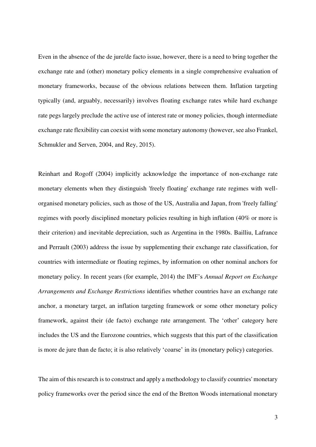Even in the absence of the de jure/de facto issue, however, there is a need to bring together the exchange rate and (other) monetary policy elements in a single comprehensive evaluation of monetary frameworks, because of the obvious relations between them. Inflation targeting typically (and, arguably, necessarily) involves floating exchange rates while hard exchange rate pegs largely preclude the active use of interest rate or money policies, though intermediate exchange rate flexibility can coexist with some monetary autonomy (however, see also Frankel, Schmukler and Serven, 2004, and Rey, 2015).

Reinhart and Rogoff (2004) implicitly acknowledge the importance of non-exchange rate monetary elements when they distinguish 'freely floating' exchange rate regimes with wellorganised monetary policies, such as those of the US, Australia and Japan, from 'freely falling' regimes with poorly disciplined monetary policies resulting in high inflation (40% or more is their criterion) and inevitable depreciation, such as Argentina in the 1980s. Bailliu, Lafrance and Perrault (2003) address the issue by supplementing their exchange rate classification, for countries with intermediate or floating regimes, by information on other nominal anchors for monetary policy. In recent years (for example, 2014) the IMF's *Annual Report on Exchange Arrangements and Exchange Restrictions* identifies whether countries have an exchange rate anchor, a monetary target, an inflation targeting framework or some other monetary policy framework, against their (de facto) exchange rate arrangement. The 'other' category here includes the US and the Eurozone countries, which suggests that this part of the classification is more de jure than de facto; it is also relatively 'coarse' in its (monetary policy) categories.

The aim of this research is to construct and apply a methodology to classify countries' monetary policy frameworks over the period since the end of the Bretton Woods international monetary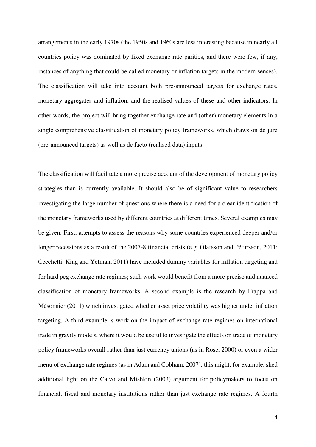arrangements in the early 1970s (the 1950s and 1960s are less interesting because in nearly all countries policy was dominated by fixed exchange rate parities, and there were few, if any, instances of anything that could be called monetary or inflation targets in the modern senses). The classification will take into account both pre-announced targets for exchange rates, monetary aggregates and inflation, and the realised values of these and other indicators. In other words, the project will bring together exchange rate and (other) monetary elements in a single comprehensive classification of monetary policy frameworks, which draws on de jure (pre-announced targets) as well as de facto (realised data) inputs.

The classification will facilitate a more precise account of the development of monetary policy strategies than is currently available. It should also be of significant value to researchers investigating the large number of questions where there is a need for a clear identification of the monetary frameworks used by different countries at different times. Several examples may be given. First, attempts to assess the reasons why some countries experienced deeper and/or longer recessions as a result of the 2007-8 financial crisis (e.g. Ólafsson and Pétursson, 2011; Cecchetti, King and Yetman, 2011) have included dummy variables for inflation targeting and for hard peg exchange rate regimes; such work would benefit from a more precise and nuanced classification of monetary frameworks. A second example is the research by Frappa and Mésonnier (2011) which investigated whether asset price volatility was higher under inflation targeting. A third example is work on the impact of exchange rate regimes on international trade in gravity models, where it would be useful to investigate the effects on trade of monetary policy frameworks overall rather than just currency unions (as in Rose, 2000) or even a wider menu of exchange rate regimes (as in Adam and Cobham, 2007); this might, for example, shed additional light on the Calvo and Mishkin (2003) argument for policymakers to focus on financial, fiscal and monetary institutions rather than just exchange rate regimes. A fourth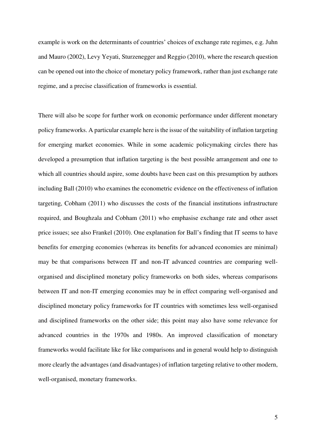example is work on the determinants of countries' choices of exchange rate regimes, e.g. Juhn and Mauro (2002), Levy Yeyati, Sturzenegger and Reggio (2010), where the research question can be opened out into the choice of monetary policy framework, rather than just exchange rate regime, and a precise classification of frameworks is essential.

There will also be scope for further work on economic performance under different monetary policy frameworks. A particular example here is the issue of the suitability of inflation targeting for emerging market economies. While in some academic policymaking circles there has developed a presumption that inflation targeting is the best possible arrangement and one to which all countries should aspire, some doubts have been cast on this presumption by authors including Ball (2010) who examines the econometric evidence on the effectiveness of inflation targeting, Cobham (2011) who discusses the costs of the financial institutions infrastructure required, and Boughzala and Cobham (2011) who emphasise exchange rate and other asset price issues; see also Frankel (2010). One explanation for Ball's finding that IT seems to have benefits for emerging economies (whereas its benefits for advanced economies are minimal) may be that comparisons between IT and non-IT advanced countries are comparing wellorganised and disciplined monetary policy frameworks on both sides, whereas comparisons between IT and non-IT emerging economies may be in effect comparing well-organised and disciplined monetary policy frameworks for IT countries with sometimes less well-organised and disciplined frameworks on the other side; this point may also have some relevance for advanced countries in the 1970s and 1980s. An improved classification of monetary frameworks would facilitate like for like comparisons and in general would help to distinguish more clearly the advantages (and disadvantages) of inflation targeting relative to other modern, well-organised, monetary frameworks.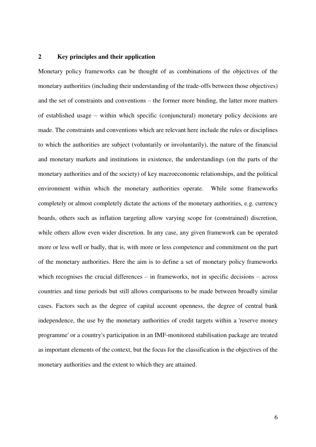#### **2 Key principles and their application**

Monetary policy frameworks can be thought of as combinations of the objectives of the monetary authorities (including their understanding of the trade-offs between those objectives) and the set of constraints and conventions – the former more binding, the latter more matters of established usage – within which specific (conjunctural) monetary policy decisions are made. The constraints and conventions which are relevant here include the rules or disciplines to which the authorities are subject (voluntarily or involuntarily), the nature of the financial and monetary markets and institutions in existence, the understandings (on the parts of the monetary authorities and of the society) of key macroeconomic relationships, and the political environment within which the monetary authorities operate. While some frameworks completely or almost completely dictate the actions of the monetary authorities, e.g. currency boards, others such as inflation targeting allow varying scope for (constrained) discretion, while others allow even wider discretion. In any case, any given framework can be operated more or less well or badly, that is, with more or less competence and commitment on the part of the monetary authorities. Here the aim is to define a set of monetary policy frameworks which recognises the crucial differences – in frameworks, not in specific decisions – across countries and time periods but still allows comparisons to be made between broadly similar cases. Factors such as the degree of capital account openness, the degree of central bank independence, the use by the monetary authorities of credit targets within a 'reserve money programme' or a country's participation in an IMF-monitored stabilisation package are treated as important elements of the context, but the focus for the classification is the objectives of the monetary authorities and the extent to which they are attained.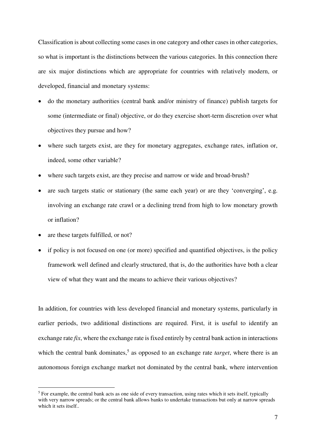Classification is about collecting some cases in one category and other cases in other categories, so what is important is the distinctions between the various categories. In this connection there are six major distinctions which are appropriate for countries with relatively modern, or developed, financial and monetary systems:

- do the monetary authorities (central bank and/or ministry of finance) publish targets for some (intermediate or final) objective, or do they exercise short-term discretion over what objectives they pursue and how?
- where such targets exist, are they for monetary aggregates, exchange rates, inflation or, indeed, some other variable?
- where such targets exist, are they precise and narrow or wide and broad-brush?
- are such targets static or stationary (the same each year) or are they 'converging', e.g. involving an exchange rate crawl or a declining trend from high to low monetary growth or inflation?
- are these targets fulfilled, or not?

<u>.</u>

• if policy is not focused on one (or more) specified and quantified objectives, is the policy framework well defined and clearly structured, that is, do the authorities have both a clear view of what they want and the means to achieve their various objectives?

In addition, for countries with less developed financial and monetary systems, particularly in earlier periods, two additional distinctions are required. First, it is useful to identify an exchange rate *fix*, where the exchange rate is fixed entirely by central bank action in interactions which the central bank dominates,<sup>5</sup> as opposed to an exchange rate *target*, where there is an autonomous foreign exchange market not dominated by the central bank, where intervention

<sup>&</sup>lt;sup>5</sup> For example, the central bank acts as one side of every transaction, using rates which it sets itself, typically with very narrow spreads; or the central bank allows banks to undertake transactions but only at narrow spreads which it sets itself..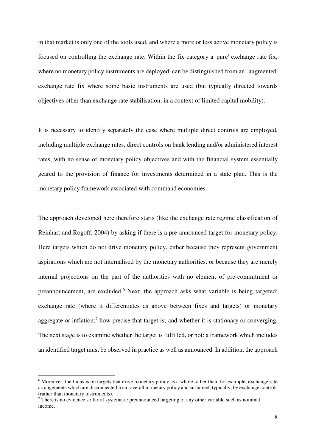in that market is only one of the tools used, and where a more or less active monetary policy is focused on controlling the exchange rate. Within the fix category a 'pure' exchange rate fix, where no monetary policy instruments are deployed, can be distinguished from an 'augmented' exchange rate fix where some basic instruments are used (but typically directed towards objectives other than exchange rate stabilisation, in a context of limited capital mobility).

It is necessary to identify separately the case where multiple direct controls are employed, including multiple exchange rates, direct controls on bank lending and/or administered interest rates, with no sense of monetary policy objectives and with the financial system essentially geared to the provision of finance for investments determined in a state plan. This is the monetary policy framework associated with command economies.

The approach developed here therefore starts (like the exchange rate regime classification of Reinhart and Rogoff, 2004) by asking if there is a pre-announced target for monetary policy. Here targets which do not drive monetary policy, either because they represent government aspirations which are not internalised by the monetary authorities, or because they are merely internal projections on the part of the authorities with no element of pre-commitment or preannouncement, are excluded.<sup>6</sup> Next, the approach asks what variable is being targeted: exchange rate (where it differentiates as above between fixes and targets) or monetary aggregate or inflation;<sup>7</sup> how precise that target is; and whether it is stationary or converging. The next stage is to examine whether the target is fulfilled, or not: a framework which includes an identified target must be observed in practice as well as announced. In addition, the approach

<u>.</u>

<sup>&</sup>lt;sup>6</sup> Moreover, the focus is on targets that drive monetary policy as a whole rather than, for example, exchange rate arrangements which are disconnected from overall monetary policy and sustained, typically, by exchange controls (rather than monetary instruments).

<sup>&</sup>lt;sup>7</sup> There is no evidence so far of systematic preannounced targeting of any other variable such as nominal income.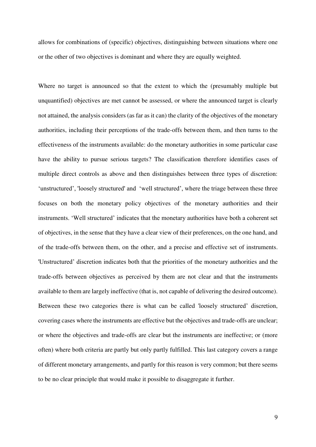allows for combinations of (specific) objectives, distinguishing between situations where one or the other of two objectives is dominant and where they are equally weighted.

Where no target is announced so that the extent to which the (presumably multiple but unquantified) objectives are met cannot be assessed, or where the announced target is clearly not attained, the analysis considers (as far as it can) the clarity of the objectives of the monetary authorities, including their perceptions of the trade-offs between them, and then turns to the effectiveness of the instruments available: do the monetary authorities in some particular case have the ability to pursue serious targets? The classification therefore identifies cases of multiple direct controls as above and then distinguishes between three types of discretion: 'unstructured', 'loosely structured' and 'well structured', where the triage between these three focuses on both the monetary policy objectives of the monetary authorities and their instruments. 'Well structured' indicates that the monetary authorities have both a coherent set of objectives, in the sense that they have a clear view of their preferences, on the one hand, and of the trade-offs between them, on the other, and a precise and effective set of instruments. 'Unstructured' discretion indicates both that the priorities of the monetary authorities and the trade-offs between objectives as perceived by them are not clear and that the instruments available to them are largely ineffective (that is, not capable of delivering the desired outcome). Between these two categories there is what can be called 'loosely structured' discretion, covering cases where the instruments are effective but the objectives and trade-offs are unclear; or where the objectives and trade-offs are clear but the instruments are ineffective; or (more often) where both criteria are partly but only partly fulfilled. This last category covers a range of different monetary arrangements, and partly for this reason is very common; but there seems to be no clear principle that would make it possible to disaggregate it further.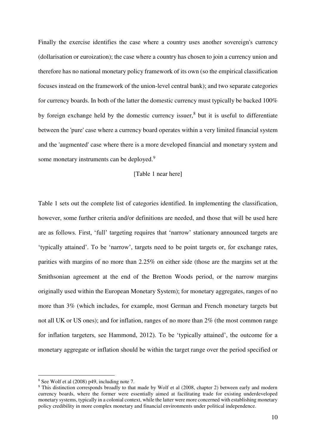Finally the exercise identifies the case where a country uses another sovereign's currency (dollarisation or euroization); the case where a country has chosen to join a currency union and therefore has no national monetary policy framework of its own (so the empirical classification focuses instead on the framework of the union-level central bank); and two separate categories for currency boards. In both of the latter the domestic currency must typically be backed 100% by foreign exchange held by the domestic currency issuer,<sup>8</sup> but it is useful to differentiate between the 'pure' case where a currency board operates within a very limited financial system and the 'augmented' case where there is a more developed financial and monetary system and some monetary instruments can be deployed.<sup>9</sup>

# [Table 1 near here]

Table 1 sets out the complete list of categories identified. In implementing the classification, however, some further criteria and/or definitions are needed, and those that will be used here are as follows. First, 'full' targeting requires that 'narrow' stationary announced targets are 'typically attained'. To be 'narrow', targets need to be point targets or, for exchange rates, parities with margins of no more than 2.25% on either side (those are the margins set at the Smithsonian agreement at the end of the Bretton Woods period, or the narrow margins originally used within the European Monetary System); for monetary aggregates, ranges of no more than 3% (which includes, for example, most German and French monetary targets but not all UK or US ones); and for inflation, ranges of no more than 2% (the most common range for inflation targeters, see Hammond, 2012). To be 'typically attained', the outcome for a monetary aggregate or inflation should be within the target range over the period specified or

<u>.</u>

<sup>8</sup> See Wolf et al (2008) p49, including note 7.

<sup>&</sup>lt;sup>9</sup> This distinction corresponds broadly to that made by Wolf et al (2008, chapter 2) between early and modern currency boards, where the former were essentially aimed at facilitating trade for existing underdeveloped monetary systems, typically in a colonial context, while the latter were more concerned with establishing monetary policy credibility in more complex monetary and financial environments under political independence.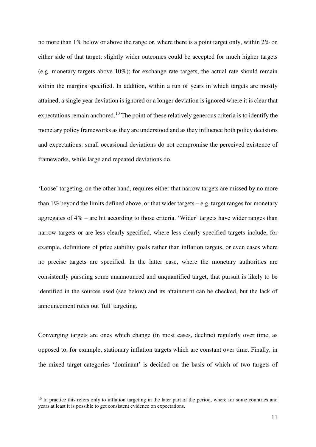no more than 1% below or above the range or, where there is a point target only, within 2% on either side of that target; slightly wider outcomes could be accepted for much higher targets (e.g. monetary targets above 10%); for exchange rate targets, the actual rate should remain within the margins specified. In addition, within a run of years in which targets are mostly attained, a single year deviation is ignored or a longer deviation is ignored where it is clear that expectations remain anchored.<sup>10</sup> The point of these relatively generous criteria is to identify the monetary policy frameworks as they are understood and as they influence both policy decisions and expectations: small occasional deviations do not compromise the perceived existence of frameworks, while large and repeated deviations do.

'Loose' targeting, on the other hand, requires either that narrow targets are missed by no more than  $1\%$  beyond the limits defined above, or that wider targets – e.g. target ranges for monetary aggregates of 4% – are hit according to those criteria. 'Wider' targets have wider ranges than narrow targets or are less clearly specified, where less clearly specified targets include, for example, definitions of price stability goals rather than inflation targets, or even cases where no precise targets are specified. In the latter case, where the monetary authorities are consistently pursuing some unannounced and unquantified target, that pursuit is likely to be identified in the sources used (see below) and its attainment can be checked, but the lack of announcement rules out 'full' targeting.

Converging targets are ones which change (in most cases, decline) regularly over time, as opposed to, for example, stationary inflation targets which are constant over time. Finally, in the mixed target categories 'dominant' is decided on the basis of which of two targets of

<u>.</u>

<sup>&</sup>lt;sup>10</sup> In practice this refers only to inflation targeting in the later part of the period, where for some countries and years at least it is possible to get consistent evidence on expectations.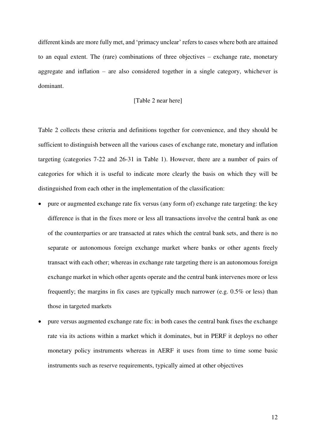different kinds are more fully met, and 'primacy unclear' refers to cases where both are attained to an equal extent. The (rare) combinations of three objectives – exchange rate, monetary aggregate and inflation – are also considered together in a single category, whichever is dominant.

#### [Table 2 near here]

Table 2 collects these criteria and definitions together for convenience, and they should be sufficient to distinguish between all the various cases of exchange rate, monetary and inflation targeting (categories 7-22 and 26-31 in Table 1). However, there are a number of pairs of categories for which it is useful to indicate more clearly the basis on which they will be distinguished from each other in the implementation of the classification:

- pure or augmented exchange rate fix versus (any form of) exchange rate targeting: the key difference is that in the fixes more or less all transactions involve the central bank as one of the counterparties or are transacted at rates which the central bank sets, and there is no separate or autonomous foreign exchange market where banks or other agents freely transact with each other; whereas in exchange rate targeting there is an autonomous foreign exchange market in which other agents operate and the central bank intervenes more or less frequently; the margins in fix cases are typically much narrower (e.g. 0.5% or less) than those in targeted markets
- pure versus augmented exchange rate fix: in both cases the central bank fixes the exchange rate via its actions within a market which it dominates, but in PERF it deploys no other monetary policy instruments whereas in AERF it uses from time to time some basic instruments such as reserve requirements, typically aimed at other objectives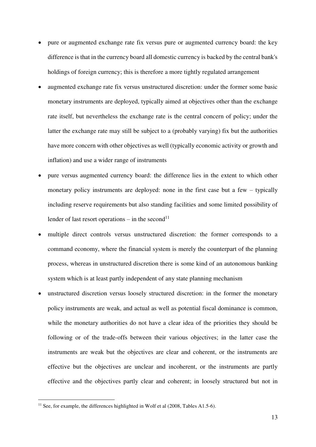- pure or augmented exchange rate fix versus pure or augmented currency board: the key difference is that in the currency board all domestic currency is backed by the central bank's holdings of foreign currency; this is therefore a more tightly regulated arrangement
- augmented exchange rate fix versus unstructured discretion: under the former some basic monetary instruments are deployed, typically aimed at objectives other than the exchange rate itself, but nevertheless the exchange rate is the central concern of policy; under the latter the exchange rate may still be subject to a (probably varying) fix but the authorities have more concern with other objectives as well (typically economic activity or growth and inflation) and use a wider range of instruments
- pure versus augmented currency board: the difference lies in the extent to which other monetary policy instruments are deployed: none in the first case but a few – typically including reserve requirements but also standing facilities and some limited possibility of lender of last resort operations – in the second<sup>11</sup>
- multiple direct controls versus unstructured discretion: the former corresponds to a command economy, where the financial system is merely the counterpart of the planning process, whereas in unstructured discretion there is some kind of an autonomous banking system which is at least partly independent of any state planning mechanism
- unstructured discretion versus loosely structured discretion: in the former the monetary policy instruments are weak, and actual as well as potential fiscal dominance is common, while the monetary authorities do not have a clear idea of the priorities they should be following or of the trade-offs between their various objectives; in the latter case the instruments are weak but the objectives are clear and coherent, or the instruments are effective but the objectives are unclear and incoherent, or the instruments are partly effective and the objectives partly clear and coherent; in loosely structured but not in

1

<sup>&</sup>lt;sup>11</sup> See, for example, the differences highlighted in Wolf et al  $(2008, \text{Tables A1.5-6}).$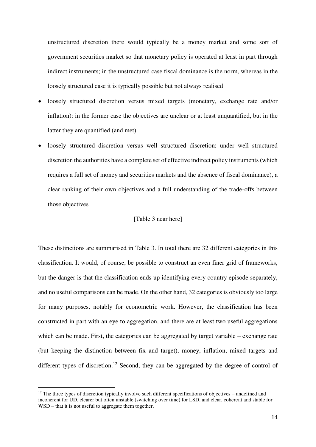unstructured discretion there would typically be a money market and some sort of government securities market so that monetary policy is operated at least in part through indirect instruments; in the unstructured case fiscal dominance is the norm, whereas in the loosely structured case it is typically possible but not always realised

- loosely structured discretion versus mixed targets (monetary, exchange rate and/or inflation): in the former case the objectives are unclear or at least unquantified, but in the latter they are quantified (and met)
- loosely structured discretion versus well structured discretion: under well structured discretion the authorities have a complete set of effective indirect policy instruments (which requires a full set of money and securities markets and the absence of fiscal dominance), a clear ranking of their own objectives and a full understanding of the trade-offs between those objectives

# [Table 3 near here]

These distinctions are summarised in Table 3. In total there are 32 different categories in this classification. It would, of course, be possible to construct an even finer grid of frameworks, but the danger is that the classification ends up identifying every country episode separately, and no useful comparisons can be made. On the other hand, 32 categories is obviously too large for many purposes, notably for econometric work. However, the classification has been constructed in part with an eye to aggregation, and there are at least two useful aggregations which can be made. First, the categories can be aggregated by target variable – exchange rate (but keeping the distinction between fix and target), money, inflation, mixed targets and different types of discretion.<sup>12</sup> Second, they can be aggregated by the degree of control of

<u>.</u>

 $12$  The three types of discretion typically involve such different specifications of objectives – undefined and incoherent for UD, clearer but often unstable (switching over time) for LSD, and clear, coherent and stable for WSD – that it is not useful to aggregate them together.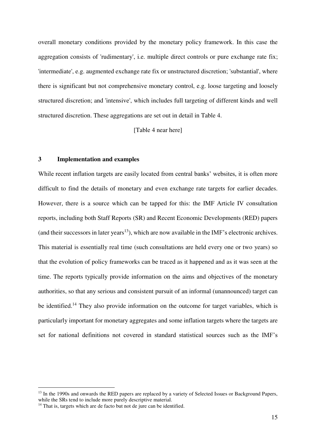overall monetary conditions provided by the monetary policy framework. In this case the aggregation consists of 'rudimentary', i.e. multiple direct controls or pure exchange rate fix; 'intermediate', e.g. augmented exchange rate fix or unstructured discretion; 'substantial', where there is significant but not comprehensive monetary control, e.g. loose targeting and loosely structured discretion; and 'intensive', which includes full targeting of different kinds and well structured discretion. These aggregations are set out in detail in Table 4.

[Table 4 near here]

# **3 Implementation and examples**

While recent inflation targets are easily located from central banks' websites, it is often more difficult to find the details of monetary and even exchange rate targets for earlier decades. However, there is a source which can be tapped for this: the IMF Article IV consultation reports, including both Staff Reports (SR) and Recent Economic Developments (RED) papers (and their successors in later years<sup>13</sup>), which are now available in the IMF's electronic archives. This material is essentially real time (such consultations are held every one or two years) so that the evolution of policy frameworks can be traced as it happened and as it was seen at the time. The reports typically provide information on the aims and objectives of the monetary authorities, so that any serious and consistent pursuit of an informal (unannounced) target can be identified.<sup>14</sup> They also provide information on the outcome for target variables, which is particularly important for monetary aggregates and some inflation targets where the targets are set for national definitions not covered in standard statistical sources such as the IMF's

<u>.</u>

<sup>&</sup>lt;sup>13</sup> In the 1990s and onwards the RED papers are replaced by a variety of Selected Issues or Background Papers, while the SRs tend to include more purely descriptive material.

 $14$  That is, targets which are de facto but not de jure can be identified.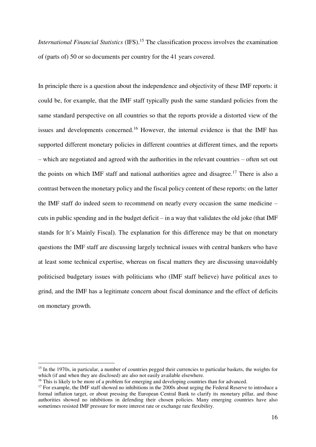*International Financial Statistics* (IFS).<sup>15</sup> The classification process involves the examination of (parts of) 50 or so documents per country for the 41 years covered.

In principle there is a question about the independence and objectivity of these IMF reports: it could be, for example, that the IMF staff typically push the same standard policies from the same standard perspective on all countries so that the reports provide a distorted view of the issues and developments concerned.<sup>16</sup> However, the internal evidence is that the IMF has supported different monetary policies in different countries at different times, and the reports – which are negotiated and agreed with the authorities in the relevant countries – often set out the points on which IMF staff and national authorities agree and disagree.<sup>17</sup> There is also a contrast between the monetary policy and the fiscal policy content of these reports: on the latter the IMF staff do indeed seem to recommend on nearly every occasion the same medicine – cuts in public spending and in the budget deficit – in a way that validates the old joke (that IMF stands for It's Mainly Fiscal). The explanation for this difference may be that on monetary questions the IMF staff are discussing largely technical issues with central bankers who have at least some technical expertise, whereas on fiscal matters they are discussing unavoidably politicised budgetary issues with politicians who (IMF staff believe) have political axes to grind, and the IMF has a legitimate concern about fiscal dominance and the effect of deficits on monetary growth.

1

<sup>&</sup>lt;sup>15</sup> In the 1970s, in particular, a number of countries pegged their currencies to particular baskets, the weights for which (if and when they are disclosed) are also not easily available elsewhere.

<sup>&</sup>lt;sup>16</sup> This is likely to be more of a problem for emerging and developing countries than for advanced.

<sup>&</sup>lt;sup>17</sup> For example, the IMF staff showed no inhibitions in the 2000s about urging the Federal Reserve to introduce a formal inflation target, or about pressing the European Central Bank to clarify its monetary pillar, and those authorities showed no inhibitions in defending their chosen policies. Many emerging countries have also sometimes resisted IMF pressure for more interest rate or exchange rate flexibility.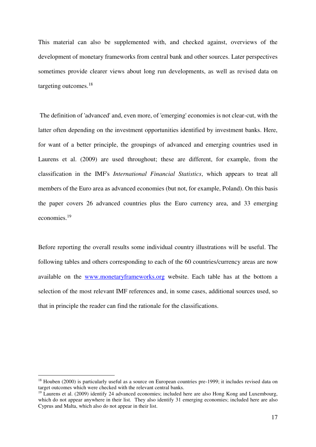This material can also be supplemented with, and checked against, overviews of the development of monetary frameworks from central bank and other sources. Later perspectives sometimes provide clearer views about long run developments, as well as revised data on targeting outcomes.<sup>18</sup>

 The definition of 'advanced' and, even more, of 'emerging' economies is not clear-cut, with the latter often depending on the investment opportunities identified by investment banks. Here, for want of a better principle, the groupings of advanced and emerging countries used in Laurens et al. (2009) are used throughout; these are different, for example, from the classification in the IMF's *International Financial Statistics*, which appears to treat all members of the Euro area as advanced economies (but not, for example, Poland). On this basis the paper covers 26 advanced countries plus the Euro currency area, and 33 emerging economies.<sup>19</sup>

Before reporting the overall results some individual country illustrations will be useful. The following tables and others corresponding to each of the 60 countries/currency areas are now available on the [www.monetaryframeworks.org](http://www.monetaryframeworks.org/) website. Each table has at the bottom a selection of the most relevant IMF references and, in some cases, additional sources used, so that in principle the reader can find the rationale for the classifications.

<u>.</u>

<sup>&</sup>lt;sup>18</sup> Houben (2000) is particularly useful as a source on European countries pre-1999; it includes revised data on target outcomes which were checked with the relevant central banks.

<sup>&</sup>lt;sup>19</sup> Laurens et al. (2009) identify 24 advanced economies; included here are also Hong Kong and Luxembourg, which do not appear anywhere in their list. They also identify 31 emerging economies; included here are also Cyprus and Malta, which also do not appear in their list.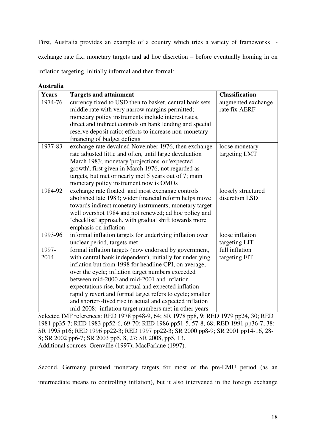First, Australia provides an example of a country which tries a variety of frameworks exchange rate fix, monetary targets and ad hoc discretion – before eventually homing in on inflation targeting, initially informal and then formal:

**Australia** 

| <b>Years</b> | <b>Targets and attainment</b>                             | <b>Classification</b> |
|--------------|-----------------------------------------------------------|-----------------------|
| 1974-76      | currency fixed to USD then to basket, central bank sets   | augmented exchange    |
|              | middle rate with very narrow margins permitted;           | rate fix AERF         |
|              | monetary policy instruments include interest rates,       |                       |
|              | direct and indirect controls on bank lending and special  |                       |
|              | reserve deposit ratio; efforts to increase non-monetary   |                       |
|              | financing of budget deficits                              |                       |
| 1977-83      | exchange rate devalued November 1976, then exchange       | loose monetary        |
|              | rate adjusted little and often, until large devaluation   | targeting LMT         |
|              | March 1983; monetary 'projections' or 'expected           |                       |
|              | growth', first given in March 1976, not regarded as       |                       |
|              | targets, but met or nearly met 5 years out of 7; main     |                       |
|              | monetary policy instrument now is OMOs                    |                       |
| 1984-92      | exchange rate floated and most exchange controls          | loosely structured    |
|              | abolished late 1983; wider financial reform helps move    | discretion LSD        |
|              | towards indirect monetary instruments; monetary target    |                       |
|              | well overshot 1984 and not renewed; ad hoc policy and     |                       |
|              | 'checklist' approach, with gradual shift towards more     |                       |
|              | emphasis on inflation                                     |                       |
| 1993-96      | informal inflation targets for underlying inflation over  | loose inflation       |
|              | unclear period, targets met                               | targeting LIT         |
| 1997-        | formal inflation targets (now endorsed by government,     | full inflation        |
| 2014         | with central bank independent), initially for underlying  | targeting FIT         |
|              | inflation but from 1998 for headline CPI, on average,     |                       |
|              | over the cycle; inflation target numbers exceeded         |                       |
|              | between mid-2000 and mid-2001 and inflation               |                       |
|              | expectations rise, but actual and expected inflation      |                       |
|              | rapidly revert and formal target refers to cycle; smaller |                       |
|              | and shorter-lived rise in actual and expected inflation   |                       |
|              | mid-2008; inflation target numbers met in other years     |                       |

Selected IMF references: RED 1978 pp48-9, 64; SR 1978 pp8, 9; RED 1979 pp24, 30; RED 1981 pp35-7; RED 1983 pp52-6, 69-70; RED 1986 pp51-5, 57-8, 68; RED 1991 pp36-7, 38; SR 1995 p16; RED 1996 pp22-3; RED 1997 pp22-3; SR 2000 pp8-9; SR 2001 pp14-16, 28- 8; SR 2002 pp6-7; SR 2003 pp5, 8, 27; SR 2008, pp5, 13. Additional sources: Grenville (1997); MacFarlane (1997).

Second, Germany pursued monetary targets for most of the pre-EMU period (as an intermediate means to controlling inflation), but it also intervened in the foreign exchange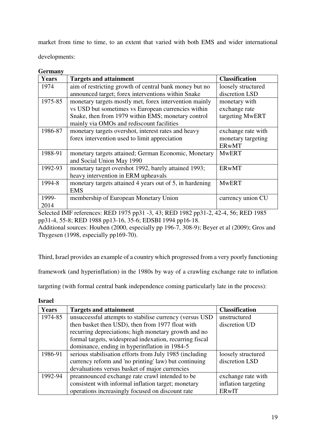market from time to time, to an extent that varied with both EMS and wider international developments:

# **Germany**

| <b>Years</b> | <b>Targets and attainment</b>                            | <b>Classification</b> |  |
|--------------|----------------------------------------------------------|-----------------------|--|
| 1974         | aim of restricting growth of central bank money but no   | loosely structured    |  |
|              | announced target; forex interventions within Snake       | discretion LSD        |  |
| 1975-85      | monetary targets mostly met, forex intervention mainly   | monetary with         |  |
|              | vs USD but sometimes vs European currencies within       | exchange rate         |  |
|              | Snake, then from 1979 within EMS; monetary control       | targeting MwERT       |  |
|              | mainly via OMOs and rediscount facilities                |                       |  |
| 1986-87      | monetary targets overshot, interest rates and heavy      | exchange rate with    |  |
|              | forex intervention used to limit appreciation            | monetary targeting    |  |
|              |                                                          | <b>ERwMT</b>          |  |
| 1988-91      | monetary targets attained; German Economic, Monetary     | <b>MwERT</b>          |  |
|              | and Social Union May 1990                                |                       |  |
| 1992-93      | monetary target overshot 1992, barely attained 1993;     | <b>ERwMT</b>          |  |
|              | heavy intervention in ERM upheavals                      |                       |  |
| 1994-8       | monetary targets attained 4 years out of 5, in hardening | <b>MwERT</b>          |  |
|              | <b>EMS</b>                                               |                       |  |
| 1999-        | membership of European Monetary Union                    | currency union CU     |  |
| 2014         |                                                          |                       |  |

Selected IMF references: RED 1975 pp31 -3, 43; RED 1982 pp31-2, 42-4, 56; RED 1985 pp31-4, 55-8; RED 1988 pp13-16, 35-6; EDSBI 1994 pp16-18.

Additional sources: Houben (2000, especially pp 196-7, 308-9); Beyer et al (2009); Gros and Thygesen (1998, especially pp169-70).

Third, Israel provides an example of a country which progressed from a very poorly functioning

framework (and hyperinflation) in the 1980s by way of a crawling exchange rate to inflation

targeting (with formal central bank independence coming particularly late in the process):

| ٧<br>×<br>۰.<br>۰, |
|--------------------|
|--------------------|

| <b>Years</b> | <b>Targets and attainment</b>                             | <b>Classification</b> |  |  |  |
|--------------|-----------------------------------------------------------|-----------------------|--|--|--|
| 1974-85      | unsuccessful attempts to stabilise currency (versus USD)  | unstructured          |  |  |  |
|              | then basket then USD), then from 1977 float with          | discretion UD         |  |  |  |
|              | recurring depreciations; high monetary growth and no      |                       |  |  |  |
|              | formal targets, widespread indexation, recurring fiscal   |                       |  |  |  |
|              | dominance, ending in hyperinflation in 1984-5             |                       |  |  |  |
| 1986-91      | serious stabilisation efforts from July 1985 (including   | loosely structured    |  |  |  |
|              | currency reform and 'no printing' law) but continuing     | discretion LSD        |  |  |  |
|              | devaluations versus basket of major currencies            |                       |  |  |  |
| 1992-94      | preannounced exchange rate crawl intended to be           | exchange rate with    |  |  |  |
|              | consistent with informal inflation target; monetary       | inflation targeting   |  |  |  |
|              | operations increasingly focused on discount rate<br>ERwIT |                       |  |  |  |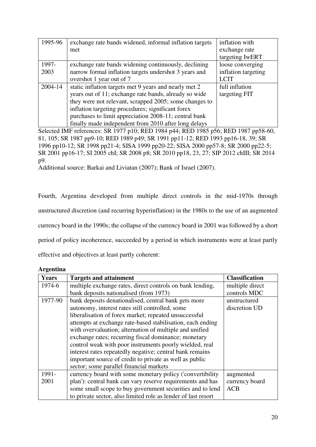| 1995-96 | exchange rate bands widened, informal inflation targets | inflation with      |
|---------|---------------------------------------------------------|---------------------|
|         | met                                                     | exchange rate       |
|         |                                                         | targeting IwERT     |
| 1997-   | exchange rate bands widening continuously, declining    | loose converging    |
| 2003    | narrow formal inflation targets undershot 3 years and   | inflation targeting |
|         | overshot 1 year out of 7                                | <b>LCIT</b>         |
| 2004-14 | static inflation targets met 9 years and nearly met 2   | full inflation      |
|         | years out of 11; exchange rate bands, already so wide   | targeting FIT       |
|         | they were not relevant, scrapped 2005; some changes to  |                     |
|         | inflation targeting procedures; significant forex       |                     |
|         | purchases to limit appreciation 2008-11; central bank   |                     |
|         | finally made independent from 2010 after long delays    |                     |

Selected IMF references: SR 1977 p10; RED 1984 p44; RED 1985 p56; RED 1987 pp58-60, 81, 105; SR 1987 pp9-10; RED 1989 p49; SR 1991 pp11-12; RED 1993 pp16-18, 39; SR 1996 pp10-12; SR 1998 pp21-4; SISA 1999 pp20-22; SISA 2000 pp57-8; SR 2000 pp22-5; SR 2001 pp16-17; SI 2005 chI; SR 2008 p8; SR 2010 pp18, 23, 27; SIP 2012 chIII; SR 2014 p9.

Additional source: Barkai and Liviatan (2007); Bank of Israel (2007).

Fourth, Argentina developed from multiple direct controls in the mid-1970s through unstructured discretion (and recurring hyperinflation) in the 1980s to the use of an augmented currency board in the 1990s; the collapse of the currency board in 2001 was followed by a short period of policy incoherence, succeeded by a period in which instruments were at least partly effective and objectives at least partly coherent:

**Argentina** 

| <b>Years</b> | <b>Targets and attainment</b>                                 | <b>Classification</b> |  |
|--------------|---------------------------------------------------------------|-----------------------|--|
| 1974-6       | multiple exchange rates, direct controls on bank lending,     | multiple direct       |  |
|              | bank deposits nationalised (from 1973)                        | controls MDC          |  |
| 1977-90      | bank deposits denationalised, central bank gets more          | unstructured          |  |
|              | autonomy, interest rates still controlled, some               | discretion UD         |  |
|              | liberalisation of forex market; repeated unsuccessful         |                       |  |
|              | attempts at exchange rate-based stabilisation, each ending    |                       |  |
|              | with overvaluation; alternation of multiple and unified       |                       |  |
|              | exchange rates; recurring fiscal dominance; monetary          |                       |  |
|              | control weak with poor instruments poorly wielded, real       |                       |  |
|              | interest rates repeatedly negative; central bank remains      |                       |  |
|              | important source of credit to private as well as public       |                       |  |
|              | sector; some parallel financial markets                       |                       |  |
| 1991-        | currency board with some monetary policy ('convertibility     | augmented             |  |
| 2001         | plan'): central bank can vary reserve requirements and has    | currency board        |  |
|              | some small scope to buy government securities and to lend     | <b>ACB</b>            |  |
|              | to private sector, also limited role as lender of last resort |                       |  |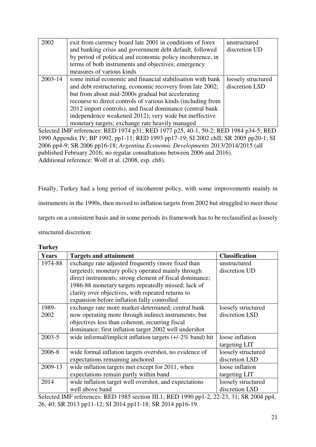| 2002        | exit from currency board late 2001 in conditions of forex                                                         | unstructured       |  |  |  |  |
|-------------|-------------------------------------------------------------------------------------------------------------------|--------------------|--|--|--|--|
|             | and banking crisis and government debt default, followed                                                          | discretion UD      |  |  |  |  |
|             | by period of political and economic policy incoherence, in                                                        |                    |  |  |  |  |
|             | terms of both instruments and objectives; emergency                                                               |                    |  |  |  |  |
|             | measures of various kinds                                                                                         |                    |  |  |  |  |
| $2003 - 14$ | some initial economic and financial stabilisation with bank                                                       | loosely structured |  |  |  |  |
|             | and debt restructuring, economic recovery from late 2002;                                                         | discretion LSD     |  |  |  |  |
|             | but from about mid-2000s gradual but accelerating                                                                 |                    |  |  |  |  |
|             | recourse to direct controls of various kinds (including from                                                      |                    |  |  |  |  |
|             | 2012 import controls), and fiscal dominance (central bank                                                         |                    |  |  |  |  |
|             | independence weakened 2012); very wide but ineffective                                                            |                    |  |  |  |  |
|             | monetary targets; exchange rate heavily managed                                                                   |                    |  |  |  |  |
|             | $0.1$ $\pm$ 1 D IF $\pm$ 0.07 $\pm$ 0.07 $\pm$ 0.07 $\pm$ 0.07 $\pm$ 0.07 $\pm$ 0.000 $\pm$ 0.07 $\pm$ 0.07 $\pm$ |                    |  |  |  |  |

Selected IMF references: RED 1974 p31; RED 1977 p25, 40-1, 50-2; RED 1984 p34-5; RED 1990 Appendix IV; BP 1992, pp1-11; RED 1993 pp17-19; SI 2002 chII; SR 2005 pp20-1; SI 2006 pp4-9; SR 2006 pp16-18; *Argentina Economic Developments* 2013/2014/2015 (all published February 2016; no regular consultations between 2006 and 2016). Additional reference: Wolf et al. (2008, esp. ch8).

Finally, Turkey had a long period of incoherent policy, with some improvements mainly in instruments in the 1990s, then moved to inflation targets from 2002 but struggled to meet those targets on a consistent basis and in some periods its framework has to be reclassified as loosely structured discretion:

| ۱<br>ш |
|--------|
|--------|

| <b>Years</b> | <b>Targets and attainment</b>                                | <b>Classification</b> |
|--------------|--------------------------------------------------------------|-----------------------|
| 1974-88      | exchange rate adjusted frequently (more fixed than           | unstructured          |
|              | targeted); monetary policy operated mainly through           | discretion UD         |
|              | direct instruments; strong element of fiscal dominance;      |                       |
|              | 1986-88 monetary targets repeatedly missed; lack of          |                       |
|              | clarity over objectives, with repeated returns to            |                       |
|              | expansion before inflation fully controlled                  |                       |
| 1989-        | exchange rate more market-determined; central bank           | loosely structured    |
| 2002         | now operating more through indirect instruments; but         | discretion LSD        |
|              | objectives less than coherent, recurring fiscal              |                       |
|              | dominance; first inflation target 2002 well undershot        |                       |
| $2003 - 5$   | wide informal/implicit inflation targets $(+/-2\%$ band) hit | loose inflation       |
|              |                                                              | targeting LIT         |
| 2006-8       | wide formal inflation targets overshot, no evidence of       | loosely structured    |
|              | expectations remaining anchored                              | discretion LSD        |
| 2009-13      | wide inflation targets met except for 2011, when             | loose inflation       |
|              | expectations remain partly within band                       | targeting LIT         |
| 2014         | wide inflation target well overshot, and expectations        | loosely structured    |
|              | well above band                                              | discretion LSD        |

Selected IMF references: RED 1985 section III.1; RED 1990 pp1-2, 22-23, 31; SR 2004 pp4, 26, 40; SR 2013 pp11-12; SI 2014 pp11-18; SR 2014 pp16-19.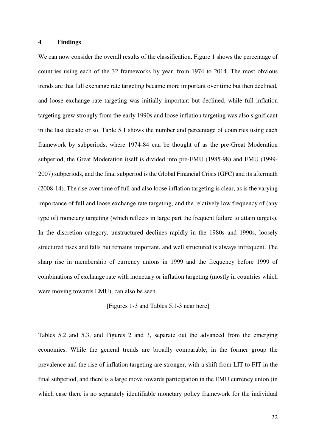#### **4 Findings**

We can now consider the overall results of the classification. Figure 1 shows the percentage of countries using each of the 32 frameworks by year, from 1974 to 2014. The most obvious trends are that full exchange rate targeting became more important over time but then declined, and loose exchange rate targeting was initially important but declined, while full inflation targeting grew strongly from the early 1990s and loose inflation targeting was also significant in the last decade or so. Table 5.1 shows the number and percentage of countries using each framework by subperiods, where 1974-84 can be thought of as the pre-Great Moderation subperiod, the Great Moderation itself is divided into pre-EMU (1985-98) and EMU (1999- 2007) subperiods, and the final subperiod is the Global Financial Crisis (GFC) and its aftermath (2008-14). The rise over time of full and also loose inflation targeting is clear, as is the varying importance of full and loose exchange rate targeting, and the relatively low frequency of (any type of) monetary targeting (which reflects in large part the frequent failure to attain targets). In the discretion category, unstructured declines rapidly in the 1980s and 1990s, loosely structured rises and falls but remains important, and well structured is always infrequent. The sharp rise in membership of currency unions in 1999 and the frequency before 1999 of combinations of exchange rate with monetary or inflation targeting (mostly in countries which were moving towards EMU), can also be seen.

[Figures 1-3 and Tables 5.1-3 near here]

Tables 5.2 and 5.3, and Figures 2 and 3, separate out the advanced from the emerging economies. While the general trends are broadly comparable, in the former group the prevalence and the rise of inflation targeting are stronger, with a shift from LIT to FIT in the final subperiod, and there is a large move towards participation in the EMU currency union (in which case there is no separately identifiable monetary policy framework for the individual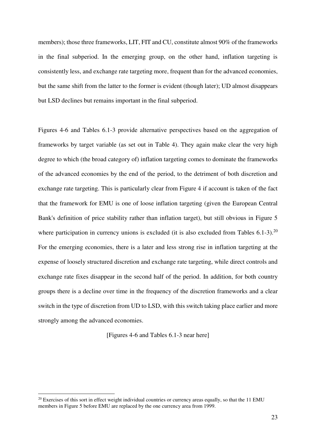members); those three frameworks, LIT, FIT and CU, constitute almost 90% of the frameworks in the final subperiod. In the emerging group, on the other hand, inflation targeting is consistently less, and exchange rate targeting more, frequent than for the advanced economies, but the same shift from the latter to the former is evident (though later); UD almost disappears but LSD declines but remains important in the final subperiod.

Figures 4-6 and Tables 6.1-3 provide alternative perspectives based on the aggregation of frameworks by target variable (as set out in Table 4). They again make clear the very high degree to which (the broad category of) inflation targeting comes to dominate the frameworks of the advanced economies by the end of the period, to the detriment of both discretion and exchange rate targeting. This is particularly clear from Figure 4 if account is taken of the fact that the framework for EMU is one of loose inflation targeting (given the European Central Bank's definition of price stability rather than inflation target), but still obvious in Figure 5 where participation in currency unions is excluded (it is also excluded from Tables  $6.1\n-3$ ).<sup>20</sup> For the emerging economies, there is a later and less strong rise in inflation targeting at the expense of loosely structured discretion and exchange rate targeting, while direct controls and exchange rate fixes disappear in the second half of the period. In addition, for both country groups there is a decline over time in the frequency of the discretion frameworks and a clear switch in the type of discretion from UD to LSD, with this switch taking place earlier and more strongly among the advanced economies.

[Figures 4-6 and Tables 6.1-3 near here]

<u>.</u>

 $^{20}$  Exercises of this sort in effect weight individual countries or currency areas equally, so that the 11 EMU members in Figure 5 before EMU are replaced by the one currency area from 1999.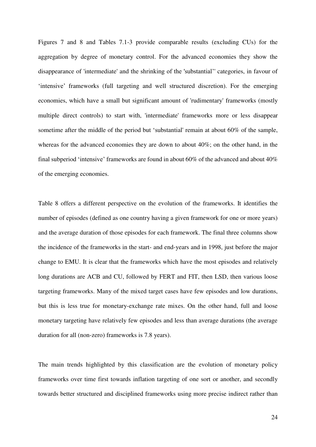Figures 7 and 8 and Tables 7.1-3 provide comparable results (excluding CUs) for the aggregation by degree of monetary control. For the advanced economies they show the disappearance of 'intermediate' and the shrinking of the 'substantial'' categories, in favour of 'intensive' frameworks (full targeting and well structured discretion). For the emerging economies, which have a small but significant amount of 'rudimentary' frameworks (mostly multiple direct controls) to start with, 'intermediate' frameworks more or less disappear sometime after the middle of the period but 'substantial' remain at about 60% of the sample, whereas for the advanced economies they are down to about 40%; on the other hand, in the final subperiod 'intensive' frameworks are found in about 60% of the advanced and about 40% of the emerging economies.

Table 8 offers a different perspective on the evolution of the frameworks. It identifies the number of episodes (defined as one country having a given framework for one or more years) and the average duration of those episodes for each framework. The final three columns show the incidence of the frameworks in the start- and end-years and in 1998, just before the major change to EMU. It is clear that the frameworks which have the most episodes and relatively long durations are ACB and CU, followed by FERT and FIT, then LSD, then various loose targeting frameworks. Many of the mixed target cases have few episodes and low durations, but this is less true for monetary-exchange rate mixes. On the other hand, full and loose monetary targeting have relatively few episodes and less than average durations (the average duration for all (non-zero) frameworks is 7.8 years).

The main trends highlighted by this classification are the evolution of monetary policy frameworks over time first towards inflation targeting of one sort or another, and secondly towards better structured and disciplined frameworks using more precise indirect rather than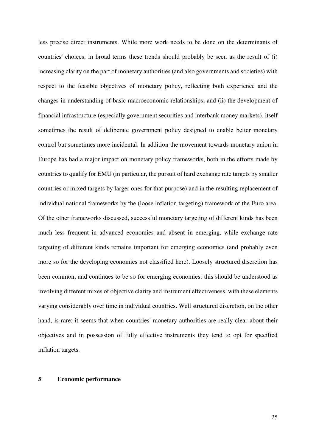less precise direct instruments. While more work needs to be done on the determinants of countries' choices, in broad terms these trends should probably be seen as the result of (i) increasing clarity on the part of monetary authorities (and also governments and societies) with respect to the feasible objectives of monetary policy, reflecting both experience and the changes in understanding of basic macroeconomic relationships; and (ii) the development of financial infrastructure (especially government securities and interbank money markets), itself sometimes the result of deliberate government policy designed to enable better monetary control but sometimes more incidental. In addition the movement towards monetary union in Europe has had a major impact on monetary policy frameworks, both in the efforts made by countries to qualify for EMU (in particular, the pursuit of hard exchange rate targets by smaller countries or mixed targets by larger ones for that purpose) and in the resulting replacement of individual national frameworks by the (loose inflation targeting) framework of the Euro area. Of the other frameworks discussed, successful monetary targeting of different kinds has been much less frequent in advanced economies and absent in emerging, while exchange rate targeting of different kinds remains important for emerging economies (and probably even more so for the developing economies not classified here). Loosely structured discretion has been common, and continues to be so for emerging economies: this should be understood as involving different mixes of objective clarity and instrument effectiveness, with these elements varying considerably over time in individual countries. Well structured discretion, on the other hand, is rare: it seems that when countries' monetary authorities are really clear about their objectives and in possession of fully effective instruments they tend to opt for specified inflation targets.

#### **5 Economic performance**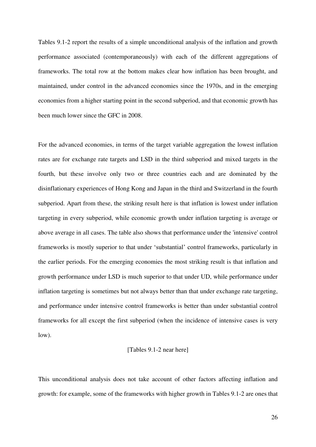Tables 9.1-2 report the results of a simple unconditional analysis of the inflation and growth performance associated (contemporaneously) with each of the different aggregations of frameworks. The total row at the bottom makes clear how inflation has been brought, and maintained, under control in the advanced economies since the 1970s, and in the emerging economies from a higher starting point in the second subperiod, and that economic growth has been much lower since the GFC in 2008.

For the advanced economies, in terms of the target variable aggregation the lowest inflation rates are for exchange rate targets and LSD in the third subperiod and mixed targets in the fourth, but these involve only two or three countries each and are dominated by the disinflationary experiences of Hong Kong and Japan in the third and Switzerland in the fourth subperiod. Apart from these, the striking result here is that inflation is lowest under inflation targeting in every subperiod, while economic growth under inflation targeting is average or above average in all cases. The table also shows that performance under the 'intensive' control frameworks is mostly superior to that under 'substantial' control frameworks, particularly in the earlier periods. For the emerging economies the most striking result is that inflation and growth performance under LSD is much superior to that under UD, while performance under inflation targeting is sometimes but not always better than that under exchange rate targeting, and performance under intensive control frameworks is better than under substantial control frameworks for all except the first subperiod (when the incidence of intensive cases is very low).

#### [Tables 9.1-2 near here]

This unconditional analysis does not take account of other factors affecting inflation and growth: for example, some of the frameworks with higher growth in Tables 9.1-2 are ones that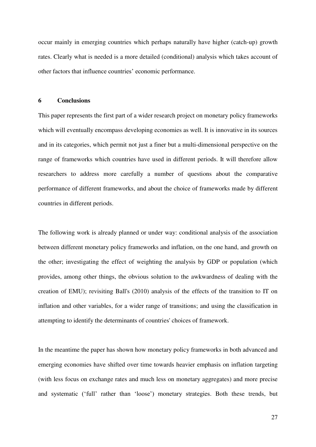occur mainly in emerging countries which perhaps naturally have higher (catch-up) growth rates. Clearly what is needed is a more detailed (conditional) analysis which takes account of other factors that influence countries' economic performance.

#### **6 Conclusions**

This paper represents the first part of a wider research project on monetary policy frameworks which will eventually encompass developing economies as well. It is innovative in its sources and in its categories, which permit not just a finer but a multi-dimensional perspective on the range of frameworks which countries have used in different periods. It will therefore allow researchers to address more carefully a number of questions about the comparative performance of different frameworks, and about the choice of frameworks made by different countries in different periods.

The following work is already planned or under way: conditional analysis of the association between different monetary policy frameworks and inflation, on the one hand, and growth on the other; investigating the effect of weighting the analysis by GDP or population (which provides, among other things, the obvious solution to the awkwardness of dealing with the creation of EMU); revisiting Ball's (2010) analysis of the effects of the transition to IT on inflation and other variables, for a wider range of transitions; and using the classification in attempting to identify the determinants of countries' choices of framework.

In the meantime the paper has shown how monetary policy frameworks in both advanced and emerging economies have shifted over time towards heavier emphasis on inflation targeting (with less focus on exchange rates and much less on monetary aggregates) and more precise and systematic ('full' rather than 'loose') monetary strategies. Both these trends, but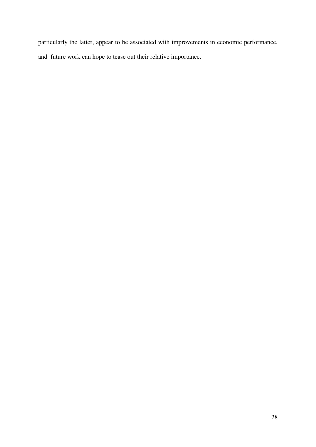particularly the latter, appear to be associated with improvements in economic performance, and future work can hope to tease out their relative importance.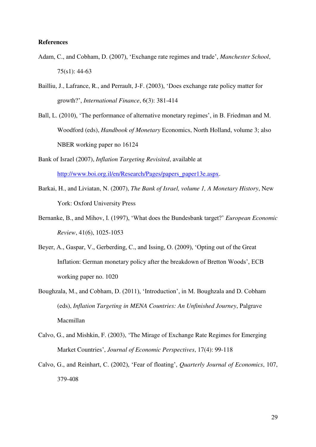#### **References**

- Adam, C., and Cobham, D. (2007), 'Exchange rate regimes and trade', *Manchester School*, 75(s1): 44-63
- Bailliu, J., Lafrance, R., and Perrault, J-F. (2003), 'Does exchange rate policy matter for growth?', *International Finance*, 6(3): 381-414
- Ball, L. (2010), 'The performance of alternative monetary regimes', in B. Friedman and M. Woodford (eds), *Handbook of Monetary* Economics, North Holland, volume 3; also NBER working paper no 16124
- Bank of Israel (2007), *Inflation Targeting Revisited*, available at [http://www.boi.org.il/en/Research/Pages/papers\\_paper13e.aspx.](http://www.boi.org.il/en/Research/Pages/papers_paper13e.aspx)
- Barkai, H., and Liviatan, N. (2007), *The Bank of Israel, volume 1, A Monetary History*, New York: Oxford University Press
- Bernanke, B., and Mihov, I. (1997), 'What does the Bundesbank target?' *European Economic Review*, 41(6), 1025-1053
- Beyer, A., Gaspar, V., Gerberding, C., and Issing, O. (2009), 'Opting out of the Great Inflation: German monetary policy after the breakdown of Bretton Woods', ECB working paper no. 1020
- Boughzala, M., and Cobham, D. (2011), 'Introduction', in M. Boughzala and D. Cobham (eds), *Inflation Targeting in MENA Countries: An Unfinished Journey*, Palgrave Macmillan
- Calvo, G., and Mishkin, F. (2003), '[The Mirage of Exchange Rate Regimes for Emerging](http://ideas.repec.org/a/aea/jecper/v17y2003i4p99-118.html)  [Market Countries](http://ideas.repec.org/a/aea/jecper/v17y2003i4p99-118.html)', *Journal of Economic Perspectives*, 17(4): 99-118
- Calvo, G., and Reinhart, C. (2002), 'Fear of floating', *Quarterly Journal of Economics*, 107, 379-408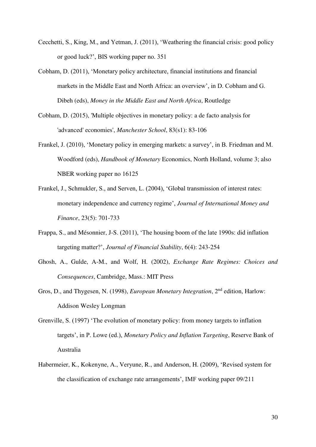- Cecchetti, S., King, M., and Yetman, J. (2011), 'Weathering the financial crisis: good policy or good luck?', BIS working paper no. 351
- Cobham, D. (2011), 'Monetary policy architecture, financial institutions and financial markets in the Middle East and North Africa: an overview', in D. Cobham and G. Dibeh (eds), *Money in the Middle East and North Africa*, Routledge
- Cobham, D. (2015), 'Multiple objectives in monetary policy: a de facto analysis for 'advanced' economies', *Manchester School*, 83(s1): 83-106
- Frankel, J. (2010), 'Monetary policy in emerging markets: a survey', in B. Friedman and M. Woodford (eds), *Handbook of Monetary* Economics, North Holland, volume 3; also NBER working paper no 16125
- Frankel, J., Schmukler, S., and Serven, L. (2004), 'Global transmission of interest rates: monetary independence and currency regime', *Journal of International Money and Finance*, 23(5): 701-733
- Frappa, S., and Mésonnier, J-S. (2011), 'The housing boom of the late 1990s: did inflation targeting matter?', *Journal of Financial Stability*, 6(4): 243-254
- Ghosh, A., Gulde, A-M., and Wolf, H. (2002), *Exchange Rate Regimes: Choices and Consequences*, Cambridge, Mass.: MIT Press
- Gros, D., and Thygesen, N. (1998), *European Monetary Integration*, 2nd edition, Harlow: Addison Wesley Longman
- Grenville, S. (1997) 'The evolution of monetary policy: from money targets to inflation targets', in P. Lowe (ed.), *Monetary Policy and Inflation Targeting*, Reserve Bank of Australia
- Habermeier, K., Kokenyne, A., Veryune, R., and Anderson, H. (2009), 'Revised system for the classification of exchange rate arrangements', IMF working paper 09/211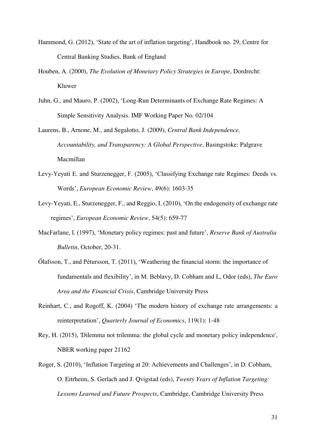- Hammond, G. (2012), 'State of the art of inflation targeting', Handbook no. 29, Centre for Central Banking Studies, Bank of England
- Houben, A. (2000), *The Evolution of Monetary Policy Strategies in Europe*, Dordrecht: Kluwer
- Juhn, G., and Mauro, P. (2002), 'Long-Run Determinants of Exchange Rate Regimes: A Simple Sensitivity Analysis. IMF Working Paper No. 02/104
- Laurens, B., Arnone, M., and Segalotto, J. (2009), *Central Bank Independence, Accountability, and Transparency: A Global Perspective*, Basingstoke: Palgrave Macmillan
- Levy-Yeyati E. and Sturzenegger, F. (2005), 'Classifying Exchange rate Regimes: Deeds vs. Words', *European Economic Review*, 49(6): 1603-35
- Levy-Yeyati, E., Sturzenegger, F., and Reggio, I. (2010), 'On the endogeneity of exchange rate regimes', *European Economic Review*, 54(5): 659-77
- MacFarlane, I. (1997), 'Monetary policy regimes: past and future', *Reserve Bank of Australia Bulletin*, October, 20-31.
- Ólafsson, T., and Pétursson, T. (2011), 'Weathering the financial storm: the importance of fundamentals and flexibility', in M. Beblavy, D. Cobham and L, Odor (eds), *The Euro Area and the Financial Crisis*, Cambridge University Press
- Reinhart, C., and Rogoff, K. (2004) 'The modern history of exchange rate arrangements: a reinterpretation', *Quarterly Journal of Economics*, 119(1): 1-48
- Rey, H. (2015), 'Dilemma not trilemma: the global cycle and monetary policy independence', NBER working paper 21162
- Roger, S. (2010), 'Inflation Targeting at 20: Achievements and Challenges', in D. Cobham, O. Eitrheim, S. Gerlach and J. Qvigstad (eds), *Twenty Years of Inflation Targeting: Lessons Learned and Future Prospects*, Cambridge, Cambridge University Press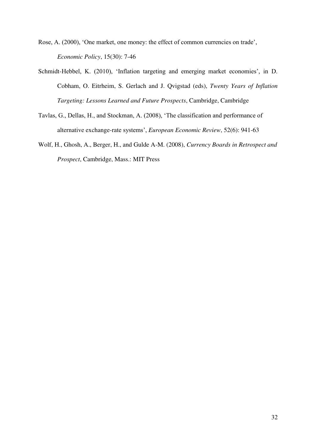Rose, A. (2000), 'One market, one money: the effect of common currencies on trade', *Economic Policy*, 15(30): 7-46

- Schmidt-Hebbel, K. (2010), 'Inflation targeting and emerging market economies', in D. Cobham, O. Eitrheim, S. Gerlach and J. Qvigstad (eds), *Twenty Years of Inflation Targeting: Lessons Learned and Future Prospects*, Cambridge, Cambridge
- Tavlas, G., Dellas, H., and Stockman, A. (2008), 'The classification and performance of alternative exchange-rate systems', *European Economic Review*, 52(6): 941-63
- Wolf, H., Ghosh, A., Berger, H., and Gulde A-M. (2008), *Currency Boards in Retrospect and Prospect*, Cambridge, Mass.: MIT Press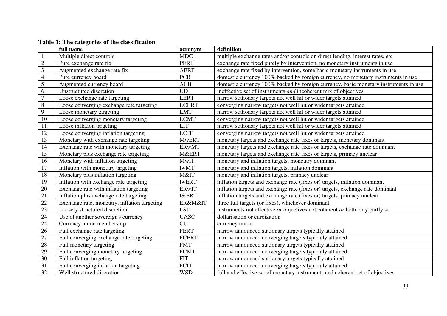|                 | full name                                    | acronym          | definition                                                                                |
|-----------------|----------------------------------------------|------------------|-------------------------------------------------------------------------------------------|
|                 | Multiple direct controls                     | <b>MDC</b>       | multiple exchange rates and/or controls on direct lending, interest rates, etc            |
| $\sqrt{2}$      | Pure exchange rate fix                       | <b>PERF</b>      | exchange rate fixed purely by intervention, no monetary instruments in use                |
| $\mathfrak{Z}$  | Augmented exchange rate fix                  | <b>AERF</b>      | exchange rate fixed by intervention, some basic monetary instruments in use               |
| $\overline{4}$  | Pure currency board                          | <b>PCB</b>       | domestic currency 100% backed by foreign currency, no monetary instruments in use         |
| $\sqrt{5}$      | Augmented currency board                     | ACB              | domestic currency 100% backed by foreign currency, basic monetary instruments in use      |
| 6               | Unstructured discretion                      | <b>UD</b>        | ineffective set of instruments <i>and</i> incoherent mix of objectives                    |
| $\overline{7}$  | Loose exchange rate targeting                | <b>LERT</b>      | narrow stationary targets not well hit or wider targets attained                          |
| $\, 8$          | Loose converging exchange rate targeting     | <b>LCERT</b>     | converging narrow targets not well hit or wider targets attained                          |
| 9               | Loose monetary targeting                     | <b>LMT</b>       | narrow stationary targets not well hit or wider targets attained                          |
| 10              | Loose converging monetary targeting          | <b>LCMT</b>      | converging narrow targets not well hit or wider targets attained                          |
| 11              | Loose inflation targeting                    | <b>LIT</b>       | narrow stationary targets not well hit or wider targets attained                          |
| $\overline{12}$ | Loose converging inflation targeting         | <b>LCIT</b>      | converging narrow targets not well hit or wider targets attained                          |
| 13              | Monetary with exchange rate targeting        | <b>MwERT</b>     | monetary targets and exchange rate fixes or targets, monetary dominant                    |
| 14              | Exchange rate with monetary targeting        | <b>ERwMT</b>     | monetary targets and exchange rate fixes or targets, exchange rate dominant               |
| 15              | Monetary plus exchange rate targeting        | M&ERT            | monetary targets and exchange rate fixes or targets, primacy unclear                      |
| 16              | Monetary with inflation targeting            | <b>MwIT</b>      | monetary and inflation targets, monetary dominant                                         |
| 17              | Inflation with monetary targeting            | <b>IwMT</b>      | monetary and inflation targets, inflation dominant                                        |
| 18              | Monetary plus inflation targeting            | M&IT             | monetary and inflation targets, primacy unclear                                           |
| 19              | Inflation with exchange rate targeting       | <b>IWERT</b>     | inflation targets and exchange rate (fixes or) targets, inflation dominant                |
| 20              | Exchange rate with inflation targeting       | <b>ERwIT</b>     | inflation targets and exchange rate (fixes or) targets, exchange rate dominant            |
| 21              | Inflation plus exchange rate targeting       | <b>I&amp;ERT</b> | inflation targets and exchange rate (fixes or) targets, primacy unclear                   |
| 22              | Exchange rate, monetary, inflation targeting | ER&M&IT          | three full targets (or fixes), whichever dominant                                         |
| 23              | Loosely structured discretion                | <b>LSD</b>       | instruments not effective <i>or</i> objectives not coherent <i>or</i> both only partly so |
| 24              | Use of another sovereign's currency          | <b>UASC</b>      | dollarisation or euroization                                                              |
| 25              | Currency union membership                    | CU               | currency union                                                                            |
| 26              | Full exchange rate targeting                 | <b>FERT</b>      | narrow announced stationary targets typically attained                                    |
| 27              | Full converging exchange rate targeting      | <b>FCERT</b>     | narrow announced converging targets typically attained                                    |
| 28              | Full monetary targeting                      | <b>FMT</b>       | narrow announced stationary targets typically attained                                    |
| 29              | Full converging monetary targeting           | <b>FCMT</b>      | narrow announced converging targets typically attained                                    |
| 30              | Full inflation targeting                     | <b>FIT</b>       | narrow announced stationary targets typically attained                                    |
| 31              | Full converging inflation targeting          | <b>FCIT</b>      | narrow announced converging targets typically attained                                    |
| 32              | Well structured discretion                   | <b>WSD</b>       | full and effective set of monetary instruments and coherent set of objectives             |

**Table 1: The categories of the classification**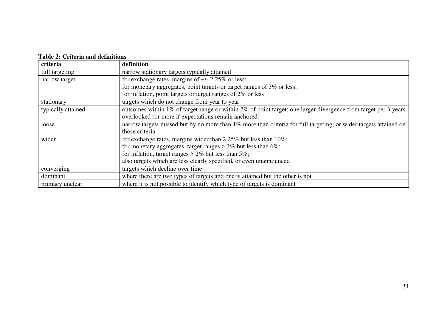# **Table 2: Criteria and definitions**

| criteria           | definition                                                                                                       |  |  |
|--------------------|------------------------------------------------------------------------------------------------------------------|--|--|
| full targeting     | narrow stationary targets typically attained                                                                     |  |  |
| narrow target      | for exchange rates, margins of $+/- 2.25\%$ or less;                                                             |  |  |
|                    | for monetary aggregates, point targets or target ranges of $3\%$ or less;                                        |  |  |
|                    | for inflation, point targets or target ranges of $2\%$ or less                                                   |  |  |
| stationary         | targets which do not change from year to year                                                                    |  |  |
| typically attained | outcomes within 1% of target range or within 2% of point target; one larger divergence from target per 3 years   |  |  |
|                    | overlooked (or more if expectations remain anchored)                                                             |  |  |
| loose              | narrow targets missed but by no more than 1% more than criteria for full targeting; or wider targets attained on |  |  |
|                    | those criteria                                                                                                   |  |  |
| wider              | for exchange rates, margins wider than 2.25% but less than $10\%$ ;                                              |  |  |
|                    | for monetary aggregates, target ranges $> 3\%$ but less than 6%;                                                 |  |  |
|                    | for inflation, target ranges $> 2\%$ but less than 5%;                                                           |  |  |
|                    | also targets which are less clearly specified, or even unannounced                                               |  |  |
| converging         | targets which decline over time                                                                                  |  |  |
| dominant           | where there are two types of targets and one is attained but the other is not                                    |  |  |
| primacy unclear    | where it is not possible to identify which type of targets is dominant                                           |  |  |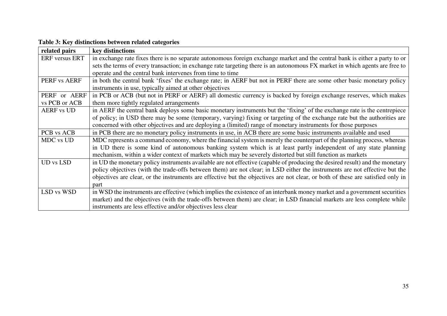| Table 3: Key distinctions between related categories |  |  |
|------------------------------------------------------|--|--|
|------------------------------------------------------|--|--|

| related pairs                | key distinctions                                                                                                                |
|------------------------------|---------------------------------------------------------------------------------------------------------------------------------|
| <b>ERF</b> versus <b>ERT</b> | in exchange rate fixes there is no separate autonomous foreign exchange market and the central bank is either a party to or     |
|                              | sets the terms of every transaction; in exchange rate targeting there is an autonomous FX market in which agents are free to    |
|                              | operate and the central bank intervenes from time to time                                                                       |
| PERF vs AERF                 | in both the central bank 'fixes' the exchange rate; in AERF but not in PERF there are some other basic monetary policy          |
|                              | instruments in use, typically aimed at other objectives                                                                         |
| PERF or AERF                 | in PCB or ACB (but not in PERF or AERF) all domestic currency is backed by foreign exchange reserves, which makes               |
| vs PCB or ACB                | them more tightly regulated arrangements                                                                                        |
| <b>AERF vs UD</b>            | in AERF the central bank deploys some basic monetary instruments but the 'fixing' of the exchange rate is the centrepiece       |
|                              | of policy; in USD there may be some (temporary, varying) fixing or targeting of the exchange rate but the authorities are       |
|                              | concerned with other objectives and are deploying a (limited) range of monetary instruments for those purposes                  |
| PCB vs ACB                   | in PCB there are no monetary policy instruments in use, in ACB there are some basic instruments available and used              |
| MDC vs UD                    | MDC represents a command economy, where the financial system is merely the counterpart of the planning process, whereas         |
|                              | in UD there is some kind of autonomous banking system which is at least partly independent of any state planning                |
|                              | mechanism, within a wider context of markets which may be severely distorted but still function as markets                      |
| <b>UD</b> vs LSD             | in UD the monetary policy instruments available are not effective (capable of producing the desired result) and the monetary    |
|                              | policy objectives (with the trade-offs between them) are not clear; in LSD either the instruments are not effective but the     |
|                              | objectives are clear, or the instruments are effective but the objectives are not clear, or both of these are satisfied only in |
|                              | part                                                                                                                            |
| LSD vs WSD                   | in WSD the instruments are effective (which implies the existence of an interbank money market and a government securities      |
|                              |                                                                                                                                 |
|                              | market) and the objectives (with the trade-offs between them) are clear; in LSD financial markets are less complete while       |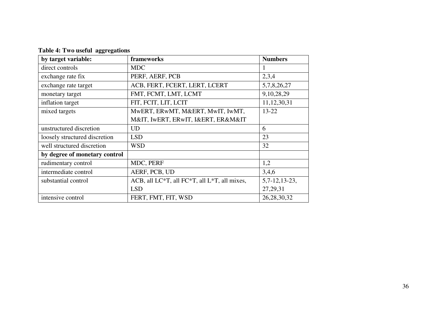| by target variable:           | frameworks                                   | <b>Numbers</b>  |
|-------------------------------|----------------------------------------------|-----------------|
| direct controls               | <b>MDC</b>                                   |                 |
| exchange rate fix             | PERF, AERF, PCB                              | 2,3,4           |
| exchange rate target          | ACB, FERT, FCERT, LERT, LCERT                | 5,7,8,26,27     |
| monetary target               | FMT, FCMT, LMT, LCMT                         | 9,10,28,29      |
| inflation target              | FIT, FCIT, LIT, LCIT                         | 11, 12, 30, 31  |
| mixed targets                 | MWERT, ERWMT, M&ERT, MWIT, IWMT,             | $13 - 22$       |
|                               | M&IT, IWERT, ERWIT, I&ERT, ER&M&IT           |                 |
| unstructured discretion       | <b>UD</b>                                    | 6               |
| loosely structured discretion | <b>LSD</b>                                   | 23              |
| well structured discretion    | <b>WSD</b>                                   | 32              |
| by degree of monetary control |                                              |                 |
| rudimentary control           | MDC, PERF                                    | 1,2             |
| intermediate control          | AERF, PCB, UD                                | 3,4,6           |
| substantial control           | ACB, all LC*T, all FC*T, all L*T, all mixes, | $5,7-12,13-23,$ |
|                               | <b>LSD</b>                                   | 27, 29, 31      |
| intensive control             | FERT, FMT, FIT, WSD                          | 26, 28, 30, 32  |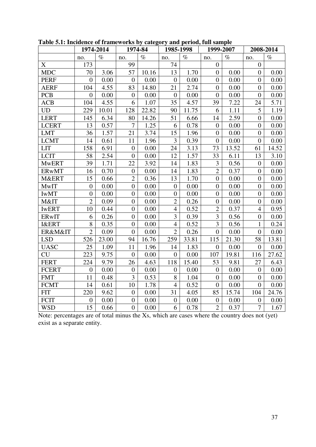|                  |                | 1974-2014 |                  | 1974-84 | 1985-1998        |       | 1999-2007        |       | 2008-2014        |       |  |
|------------------|----------------|-----------|------------------|---------|------------------|-------|------------------|-------|------------------|-------|--|
|                  | no.            | $\%$      | no.              | $\%$    | no.              | $\%$  | no.              | $\%$  | no.              | $\%$  |  |
| X                | 173            |           | 99               |         | 74               |       | $\overline{0}$   |       | $\overline{0}$   |       |  |
| <b>MDC</b>       | 70             | 3.06      | 57               | 10.16   | 13               | 1.70  | $\overline{0}$   | 0.00  | $\overline{0}$   | 0.00  |  |
| <b>PERF</b>      | $\overline{0}$ | 0.00      | $\mathbf{0}$     | 0.00    | $\boldsymbol{0}$ | 0.00  | $\overline{0}$   | 0.00  | $\boldsymbol{0}$ | 0.00  |  |
| <b>AERF</b>      | 104            | 4.55      | 83               | 14.80   | 21               | 2.74  | $\boldsymbol{0}$ | 0.00  | $\overline{0}$   | 0.00  |  |
| <b>PCB</b>       | $\overline{0}$ | 0.00      | $\boldsymbol{0}$ | 0.00    | $\overline{0}$   | 0.00  | $\overline{0}$   | 0.00  | $\overline{0}$   | 0.00  |  |
| ACB              | 104            | 4.55      | 6                | 1.07    | 35               | 4.57  | 39               | 7.22  | 24               | 5.71  |  |
| <b>UD</b>        | 229            | 10.01     | 128              | 22.82   | 90               | 11.75 | 6                | 1.11  | 5                | 1.19  |  |
| <b>LERT</b>      | 145            | 6.34      | 80               | 14.26   | 51               | 6.66  | 14               | 2.59  | $\overline{0}$   | 0.00  |  |
| <b>LCERT</b>     | 13             | 0.57      | $\overline{7}$   | 1.25    | 6                | 0.78  | $\overline{0}$   | 0.00  | $\overline{0}$   | 0.00  |  |
| <b>LMT</b>       | 36             | 1.57      | 21               | 3.74    | 15               | 1.96  | $\overline{0}$   | 0.00  | $\overline{0}$   | 0.00  |  |
| <b>LCMT</b>      | 14             | 0.61      | 11               | 1.96    | 3                | 0.39  | $\boldsymbol{0}$ | 0.00  | $\overline{0}$   | 0.00  |  |
| <b>LIT</b>       | 158            | 6.91      | $\boldsymbol{0}$ | 0.00    | 24               | 3.13  | 73               | 13.52 | 61               | 14.52 |  |
| <b>LCIT</b>      | 58             | 2.54      | $\boldsymbol{0}$ | 0.00    | 12               | 1.57  | 33               | 6.11  | 13               | 3.10  |  |
| <b>MwERT</b>     | 39             | 1.71      | 22               | 3.92    | 14               | 1.83  | 3                | 0.56  | $\overline{0}$   | 0.00  |  |
| <b>ERwMT</b>     | 16             | 0.70      | $\boldsymbol{0}$ | 0.00    | 14               | 1.83  | $\overline{2}$   | 0.37  | $\boldsymbol{0}$ | 0.00  |  |
| M&ERT            | 15             | 0.66      | $\overline{2}$   | 0.36    | 13               | 1.70  | $\overline{0}$   | 0.00  | $\boldsymbol{0}$ | 0.00  |  |
| <b>MwIT</b>      | $\overline{0}$ | 0.00      | $\overline{0}$   | 0.00    | $\boldsymbol{0}$ | 0.00  | $\overline{0}$   | 0.00  | $\boldsymbol{0}$ | 0.00  |  |
| <b>IWMT</b>      | $\overline{0}$ | 0.00      | $\boldsymbol{0}$ | 0.00    | $\overline{0}$   | 0.00  | $\overline{0}$   | 0.00  | $\overline{0}$   | 0.00  |  |
| M&IT             | $\overline{2}$ | 0.09      | $\boldsymbol{0}$ | 0.00    | $\overline{2}$   | 0.26  | $\boldsymbol{0}$ | 0.00  | $\boldsymbol{0}$ | 0.00  |  |
| <b>IWERT</b>     | 10             | 0.44      | $\boldsymbol{0}$ | 0.00    | $\overline{4}$   | 0.52  | $\overline{2}$   | 0.37  | $\overline{4}$   | 0.95  |  |
| ERwIT            | 6              | 0.26      | $\overline{0}$   | 0.00    | 3                | 0.39  | 3                | 0.56  | $\overline{0}$   | 0.00  |  |
| <b>I&amp;ERT</b> | 8              | 0.35      | $\boldsymbol{0}$ | 0.00    | $\overline{4}$   | 0.52  | 3                | 0.56  | 1                | 0.24  |  |
| ER&M&IT          | $\overline{2}$ | 0.09      | $\overline{0}$   | 0.00    | $\overline{2}$   | 0.26  | $\overline{0}$   | 0.00  | $\overline{0}$   | 0.00  |  |
| <b>LSD</b>       | 526            | 23.00     | 94               | 16.76   | 259              | 33.81 | 115              | 21.30 | 58               | 13.81 |  |
| <b>UASC</b>      | 25             | 1.09      | 11               | 1.96    | 14               | 1.83  | $\overline{0}$   | 0.00  | $\overline{0}$   | 0.00  |  |
| CU               | 223            | 9.75      | $\mathbf{0}$     | 0.00    | $\overline{0}$   | 0.00  | 107              | 19.81 | 116              | 27.62 |  |
| <b>FERT</b>      | 224            | 9.79      | 26               | 4.63    | 118              | 15.40 | 53               | 9.81  | 27               | 6.43  |  |
| <b>FCERT</b>     | $\overline{0}$ | 0.00      | $\boldsymbol{0}$ | 0.00    | $\overline{0}$   | 0.00  | $\boldsymbol{0}$ | 0.00  | $\boldsymbol{0}$ | 0.00  |  |
| <b>FMT</b>       | 11             | 0.48      | 3                | 0.53    | 8                | 1.04  | $\boldsymbol{0}$ | 0.00  | $\boldsymbol{0}$ | 0.00  |  |
| <b>FCMT</b>      | 14             | 0.61      | 10               | 1.78    | $\overline{4}$   | 0.52  | $\boldsymbol{0}$ | 0.00  | $\boldsymbol{0}$ | 0.00  |  |
| <b>FIT</b>       | 220            | 9.62      | $\boldsymbol{0}$ | 0.00    | 31               | 4.05  | 85               | 15.74 | 104              | 24.76 |  |
| <b>FCIT</b>      | $\theta$       | 0.00      | $\boldsymbol{0}$ | 0.00    | $\boldsymbol{0}$ | 0.00  | $\boldsymbol{0}$ | 0.00  | $\boldsymbol{0}$ | 0.00  |  |
| <b>WSD</b>       | 15             | 0.66      | $\overline{0}$   | 0.00    | 6                | 0.78  | $\overline{2}$   | 0.37  | $\overline{7}$   | 1.67  |  |

**Table 5.1: Incidence of frameworks by category and period, full sample** 

Note: percentages are of total minus the Xs, which are cases where the country does not (yet) exist as a separate entity.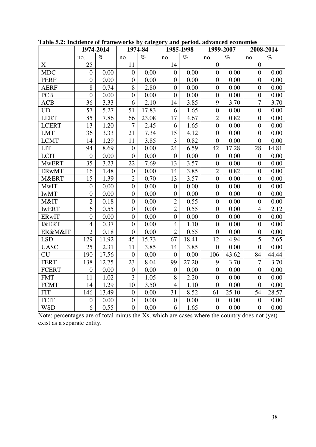|                  |                  | 1974-2014 |                  | 1974-84 |                  | 1985-1998 | 1999-2007        |       |                  | 2008-2014 |
|------------------|------------------|-----------|------------------|---------|------------------|-----------|------------------|-------|------------------|-----------|
|                  | no.              | $\%$      | no.              | $\%$    | no.              | $\%$      | no.              | $\%$  | no.              | $\%$      |
| X                | 25               |           | 11               |         | 14               |           | $\overline{0}$   |       | $\overline{0}$   |           |
| <b>MDC</b>       | $\overline{0}$   | 0.00      | $\boldsymbol{0}$ | 0.00    | $\overline{0}$   | 0.00      | $\boldsymbol{0}$ | 0.00  | $\overline{0}$   | 0.00      |
| <b>PERF</b>      | $\overline{0}$   | 0.00      | $\overline{0}$   | 0.00    | $\overline{0}$   | 0.00      | $\overline{0}$   | 0.00  | $\theta$         | 0.00      |
| <b>AERF</b>      | 8                | 0.74      | $8\,$            | 2.80    | $\boldsymbol{0}$ | 0.00      | $\boldsymbol{0}$ | 0.00  | $\overline{0}$   | 0.00      |
| <b>PCB</b>       | $\overline{0}$   | 0.00      | $\boldsymbol{0}$ | 0.00    | $\boldsymbol{0}$ | 0.00      | $\boldsymbol{0}$ | 0.00  | $\overline{0}$   | 0.00      |
| <b>ACB</b>       | 36               | 3.33      | 6                | 2.10    | 14               | 3.85      | 9                | 3.70  | $\overline{7}$   | 3.70      |
| <b>UD</b>        | 57               | 5.27      | 51               | 17.83   | 6                | 1.65      | $\boldsymbol{0}$ | 0.00  | $\overline{0}$   | 0.00      |
| <b>LERT</b>      | 85               | 7.86      | 66               | 23.08   | 17               | 4.67      | $\overline{2}$   | 0.82  | $\overline{0}$   | 0.00      |
| <b>LCERT</b>     | 13               | 1.20      | $\overline{7}$   | 2.45    | 6                | 1.65      | $\boldsymbol{0}$ | 0.00  | $\overline{0}$   | 0.00      |
| <b>LMT</b>       | 36               | 3.33      | 21               | 7.34    | 15               | 4.12      | $\boldsymbol{0}$ | 0.00  | $\overline{0}$   | 0.00      |
| <b>LCMT</b>      | 14               | 1.29      | 11               | 3.85    | 3                | 0.82      | $\boldsymbol{0}$ | 0.00  | $\Omega$         | 0.00      |
| <b>LIT</b>       | 94               | 8.69      | $\boldsymbol{0}$ | 0.00    | 24               | 6.59      | 42               | 17.28 | 28               | 14.81     |
| <b>LCIT</b>      | $\mathbf{0}$     | 0.00      | $\overline{0}$   | 0.00    | $\overline{0}$   | 0.00      | $\boldsymbol{0}$ | 0.00  | $\overline{0}$   | 0.00      |
| <b>MwERT</b>     | 35               | 3.23      | 22               | 7.69    | 13               | 3.57      | $\boldsymbol{0}$ | 0.00  | $\overline{0}$   | 0.00      |
| <b>ERwMT</b>     | 16               | 1.48      | $\boldsymbol{0}$ | 0.00    | 14               | 3.85      | $\overline{2}$   | 0.82  | $\overline{0}$   | 0.00      |
| M&ERT            | 15               | 1.39      | $\overline{2}$   | 0.70    | 13               | 3.57      | $\boldsymbol{0}$ | 0.00  | $\overline{0}$   | 0.00      |
| <b>MwIT</b>      | $\boldsymbol{0}$ | 0.00      | $\boldsymbol{0}$ | 0.00    | $\boldsymbol{0}$ | 0.00      | $\boldsymbol{0}$ | 0.00  | $\overline{0}$   | 0.00      |
| <b>IWMT</b>      | $\overline{0}$   | 0.00      | $\boldsymbol{0}$ | 0.00    | $\overline{0}$   | 0.00      | $\boldsymbol{0}$ | 0.00  | $\overline{0}$   | 0.00      |
| M&IT             | $\overline{2}$   | 0.18      | $\boldsymbol{0}$ | 0.00    | $\overline{2}$   | 0.55      | $\boldsymbol{0}$ | 0.00  | $\overline{0}$   | 0.00      |
| <b>IWERT</b>     | 6                | 0.55      | $\boldsymbol{0}$ | 0.00    | $\overline{2}$   | 0.55      | $\boldsymbol{0}$ | 0.00  | $\overline{4}$   | 2.12      |
| ERwIT            | $\boldsymbol{0}$ | 0.00      | $\boldsymbol{0}$ | 0.00    | $\boldsymbol{0}$ | 0.00      | $\boldsymbol{0}$ | 0.00  | $\overline{0}$   | 0.00      |
| <b>I&amp;ERT</b> | $\overline{4}$   | 0.37      | $\boldsymbol{0}$ | 0.00    | $\overline{4}$   | 1.10      | $\boldsymbol{0}$ | 0.00  | $\boldsymbol{0}$ | 0.00      |
| ER&M&IT          | $\overline{2}$   | 0.18      | $\boldsymbol{0}$ | 0.00    | $\overline{2}$   | 0.55      | $\boldsymbol{0}$ | 0.00  | $\boldsymbol{0}$ | 0.00      |
| <b>LSD</b>       | 129              | 11.92     | 45               | 15.73   | 67               | 18.41     | 12               | 4.94  | 5                | 2.65      |
| <b>UASC</b>      | 25               | 2.31      | 11               | 3.85    | 14               | 3.85      | $\boldsymbol{0}$ | 0.00  | $\overline{0}$   | 0.00      |
| CU               | 190              | 17.56     | $\overline{0}$   | 0.00    | $\theta$         | 0.00      | 106              | 43.62 | 84               | 44.44     |
| <b>FERT</b>      | 138              | 12.75     | 23               | 8.04    | 99               | 27.20     | 9                | 3.70  | $\overline{7}$   | 3.70      |
| <b>FCERT</b>     | $\overline{0}$   | 0.00      | $\boldsymbol{0}$ | 0.00    | $\overline{0}$   | 0.00      | $\boldsymbol{0}$ | 0.00  | $\overline{0}$   | 0.00      |
| <b>FMT</b>       | 11               | 1.02      | 3                | 1.05    | 8                | 2.20      | $\boldsymbol{0}$ | 0.00  | $\boldsymbol{0}$ | 0.00      |
| <b>FCMT</b>      | 14               | 1.29      | 10               | 3.50    | $\overline{4}$   | 1.10      | $\boldsymbol{0}$ | 0.00  | $\overline{0}$   | 0.00      |
| <b>FIT</b>       | 146              | 13.49     | $\boldsymbol{0}$ | 0.00    | 31               | 8.52      | 61               | 25.10 | 54               | 28.57     |
| <b>FCIT</b>      | $\overline{0}$   | 0.00      | $\boldsymbol{0}$ | 0.00    | $\boldsymbol{0}$ | 0.00      | $\boldsymbol{0}$ | 0.00  | $\boldsymbol{0}$ | 0.00      |
| <b>WSD</b>       | 6                | 0.55      | $\overline{0}$   | 0.00    | 6                | 1.65      | $\overline{0}$   | 0.00  | $\overline{0}$   | 0.00      |

**Table 5.2: Incidence of frameworks by category and period, advanced economies** 

Note: percentages are of total minus the Xs, which are cases where the country does not (yet) exist as a separate entity.

.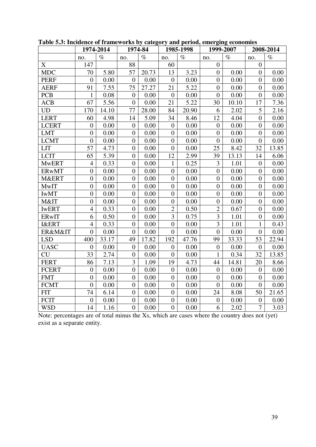|                  |                  | 1974-2014 | 1974-84          |       |                  | 1985-1998 |                  | 1999-2007 |                  | 2008-2014 |
|------------------|------------------|-----------|------------------|-------|------------------|-----------|------------------|-----------|------------------|-----------|
|                  | no.              | $\%$      | no.              | $\%$  | no.              | $\%$      | no.              | $\%$      | no.              | $\%$      |
| X                | 147              |           | 88               |       | 60               |           | $\overline{0}$   |           | $\overline{0}$   |           |
| <b>MDC</b>       | 70               | 5.80      | 57               | 20.73 | 13               | 3.23      | $\boldsymbol{0}$ | 0.00      | $\overline{0}$   | 0.00      |
| <b>PERF</b>      | $\overline{0}$   | 0.00      | $\overline{0}$   | 0.00  | $\overline{0}$   | 0.00      | $\overline{0}$   | 0.00      | $\overline{0}$   | 0.00      |
| <b>AERF</b>      | 91               | 7.55      | 75               | 27.27 | 21               | 5.22      | $\boldsymbol{0}$ | 0.00      | $\overline{0}$   | 0.00      |
| <b>PCB</b>       | $\mathbf{1}$     | 0.08      | $\boldsymbol{0}$ | 0.00  | $\boldsymbol{0}$ | 0.00      | $\boldsymbol{0}$ | 0.00      | $\overline{0}$   | 0.00      |
| <b>ACB</b>       | 67               | 5.56      | $\boldsymbol{0}$ | 0.00  | 21               | 5.22      | 30               | 10.10     | 17               | 7.36      |
| <b>UD</b>        | 170              | 14.10     | 77               | 28.00 | 84               | 20.90     | 6                | 2.02      | 5                | 2.16      |
| <b>LERT</b>      | 60               | 4.98      | 14               | 5.09  | 34               | 8.46      | 12               | 4.04      | $\overline{0}$   | 0.00      |
| <b>LCERT</b>     | $\boldsymbol{0}$ | 0.00      | $\boldsymbol{0}$ | 0.00  | $\boldsymbol{0}$ | 0.00      | $\boldsymbol{0}$ | 0.00      | $\overline{0}$   | 0.00      |
| <b>LMT</b>       | $\boldsymbol{0}$ | 0.00      | $\boldsymbol{0}$ | 0.00  | $\overline{0}$   | 0.00      | $\boldsymbol{0}$ | 0.00      | $\overline{0}$   | 0.00      |
| <b>LCMT</b>      | $\overline{0}$   | 0.00      | $\boldsymbol{0}$ | 0.00  | $\overline{0}$   | 0.00      | $\overline{0}$   | 0.00      | $\Omega$         | 0.00      |
| <b>LIT</b>       | 57               | 4.73      | $\boldsymbol{0}$ | 0.00  | $\boldsymbol{0}$ | 0.00      | 25               | 8.42      | 32               | 13.85     |
| <b>LCIT</b>      | 65               | 5.39      | $\boldsymbol{0}$ | 0.00  | 12               | 2.99      | 39               | 13.13     | 14               | 6.06      |
| <b>MwERT</b>     | $\overline{4}$   | 0.33      | $\boldsymbol{0}$ | 0.00  | $\mathbf{1}$     | 0.25      | 3                | 1.01      | $\overline{0}$   | 0.00      |
| <b>ERwMT</b>     | $\boldsymbol{0}$ | 0.00      | $\boldsymbol{0}$ | 0.00  | $\boldsymbol{0}$ | 0.00      | $\boldsymbol{0}$ | 0.00      | $\boldsymbol{0}$ | 0.00      |
| M&ERT            | $\boldsymbol{0}$ | 0.00      | $\boldsymbol{0}$ | 0.00  | $\boldsymbol{0}$ | 0.00      | $\boldsymbol{0}$ | 0.00      | $\boldsymbol{0}$ | 0.00      |
| MwIT             | $\boldsymbol{0}$ | 0.00      | $\boldsymbol{0}$ | 0.00  | $\overline{0}$   | 0.00      | $\boldsymbol{0}$ | 0.00      | $\boldsymbol{0}$ | 0.00      |
| <b>IWMT</b>      | $\overline{0}$   | 0.00      | $\boldsymbol{0}$ | 0.00  | $\overline{0}$   | 0.00      | $\boldsymbol{0}$ | 0.00      | $\boldsymbol{0}$ | 0.00      |
| M&IT             | $\boldsymbol{0}$ | 0.00      | $\boldsymbol{0}$ | 0.00  | $\boldsymbol{0}$ | 0.00      | $\boldsymbol{0}$ | 0.00      | $\overline{0}$   | 0.00      |
| <b>IWERT</b>     | $\overline{4}$   | 0.33      | $\boldsymbol{0}$ | 0.00  | $\overline{2}$   | 0.50      | $\overline{2}$   | 0.67      | $\boldsymbol{0}$ | 0.00      |
| ERwIT            | 6                | 0.50      | $\boldsymbol{0}$ | 0.00  | $\overline{3}$   | 0.75      | 3                | 1.01      | $\boldsymbol{0}$ | 0.00      |
| <b>I&amp;ERT</b> | $\overline{4}$   | 0.33      | $\overline{0}$   | 0.00  | $\boldsymbol{0}$ | 0.00      | 3                | 1.01      | $\mathbf{1}$     | 0.43      |
| ER&M&IT          | $\boldsymbol{0}$ | 0.00      | $\boldsymbol{0}$ | 0.00  | $\boldsymbol{0}$ | 0.00      | $\boldsymbol{0}$ | 0.00      | $\overline{0}$   | 0.00      |
| <b>LSD</b>       | 400              | 33.17     | 49               | 17.82 | 192              | 47.76     | 99               | 33.33     | 53               | 22.94     |
| <b>UASC</b>      | $\overline{0}$   | 0.00      | $\boldsymbol{0}$ | 0.00  | $\overline{0}$   | 0.00      | $\boldsymbol{0}$ | 0.00      | $\overline{0}$   | 0.00      |
| <b>CU</b>        | 33               | 2.74      | $\boldsymbol{0}$ | 0.00  | $\boldsymbol{0}$ | 0.00      | $\mathbf{1}$     | 0.34      | 32               | 13.85     |
| <b>FERT</b>      | 86               | 7.13      | 3                | 1.09  | 19               | 4.73      | 44               | 14.81     | 20               | 8.66      |
| <b>FCERT</b>     | $\overline{0}$   | 0.00      | $\boldsymbol{0}$ | 0.00  | $\overline{0}$   | 0.00      | $\overline{0}$   | 0.00      | $\overline{0}$   | 0.00      |
| <b>FMT</b>       | $\boldsymbol{0}$ | 0.00      | $\boldsymbol{0}$ | 0.00  | $\overline{0}$   | 0.00      | $\overline{0}$   | 0.00      | $\boldsymbol{0}$ | 0.00      |
| <b>FCMT</b>      | $\overline{0}$   | 0.00      | $\boldsymbol{0}$ | 0.00  | $\boldsymbol{0}$ | 0.00      | $\overline{0}$   | 0.00      | $\mathbf{0}$     | 0.00      |
| <b>FIT</b>       | 74               | 6.14      | $\boldsymbol{0}$ | 0.00  | $\boldsymbol{0}$ | 0.00      | 24               | 8.08      | 50               | 21.65     |
| <b>FCIT</b>      | $\boldsymbol{0}$ | 0.00      | $\boldsymbol{0}$ | 0.00  | $\boldsymbol{0}$ | 0.00      | $\boldsymbol{0}$ | 0.00      | $\boldsymbol{0}$ | 0.00      |
| <b>WSD</b>       | 14               | 1.16      | $\overline{0}$   | 0.00  | $\overline{0}$   | 0.00      | 6                | 2.02      | $\overline{7}$   | 3.03      |

**Table 5.3: Incidence of frameworks by category and period, emerging economies** 

Note: percentages are of total minus the Xs, which are cases where the country does not (yet) exist as a separate entity.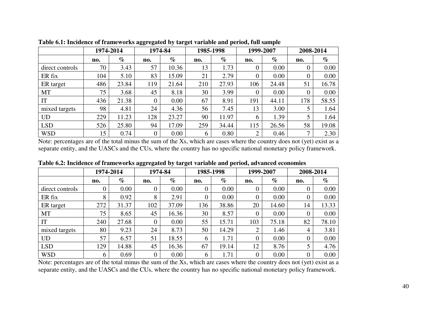|                 |     | 1974-2014 | 1974-84  |       | 1985-1998 |       |     | 1999-2007 | 2008-2014      |          |
|-----------------|-----|-----------|----------|-------|-----------|-------|-----|-----------|----------------|----------|
|                 | no. | $\%$      | no.      | $\%$  | no.       | $\%$  | no. | $\%$      | no.            | $\%$     |
| direct controls | 70  | 3.43      | 57       | 10.36 | 13        | 1.73  | 0   | 0.00      | 0              | $0.00\,$ |
| ER fix          | 104 | 5.10      | 83       | 15.09 | 21        | 2.79  | 0   | 0.00      | $\theta$       | 0.00     |
| ER target       | 486 | 23.84     | 119      | 21.64 | 210       | 27.93 | 106 | 24.48     | 51             | 16.78    |
| <b>MT</b>       | 75  | 3.68      | 45       | 8.18  | 30        | 3.99  | 0   | 0.00      | $\overline{0}$ | $0.00\,$ |
| IT              | 436 | 21.38     | $\Omega$ | 0.00  | 67        | 8.91  | 191 | 44.11     | 178            | 58.55    |
| mixed targets   | 98  | 4.81      | 24       | 4.36  | 56        | 7.45  | 13  | 3.00      |                | 1.64     |
| <b>UD</b>       | 229 | 11.23     | 128      | 23.27 | 90        | 11.97 | 6   | 1.39      |                | 1.64     |
| <b>LSD</b>      | 526 | 25.80     | 94       | 17.09 | 259       | 34.44 | 115 | 26.56     | 58             | 19.08    |
| <b>WSD</b>      | 15  | 0.74      |          | 0.00  | 6         | 0.80  | ↑   | 0.46      | ⇁              | 2.30     |

**Table 6.1: Incidence of frameworks aggregated by target variable and period, full sample** 

Note: percentages are of the total minus the sum of the Xs, which are cases where the country does not (yet) exist as a separate entity, and the UASCs and the CUs, where the country has no specific national monetary policy framework.

|                 |                | 1974-2014 |          | 1974-84 |                | 1985-1998 |                | 1999-2007 |          | 2008-2014 |
|-----------------|----------------|-----------|----------|---------|----------------|-----------|----------------|-----------|----------|-----------|
|                 | no.            | $\%$      | no.      | $\%$    | no.            | $\%$      | no.            | $\%$      | no.      | $\%$      |
| direct controls | $\overline{0}$ | $0.00\,$  | $\theta$ | 0.00    | $\theta$       | 0.00      | $\overline{0}$ | $0.00\,$  | $\theta$ | $0.00\,$  |
| ER fix          | 8              | 0.92      | 8        | 2.91    | $\overline{0}$ | 0.00      | $\theta$       | $0.00\,$  | 0        | 0.00      |
| ER target       | 272            | 31.37     | 102      | 37.09   | 136            | 38.86     | 20             | 14.60     | 14       | 13.33     |
| MT              | 75             | 8.65      | 45       | 16.36   | 30             | 8.57      | $\overline{0}$ | $0.00\,$  | $\theta$ | $0.00\,$  |
| IT              | 240            | 27.68     | 0        | 0.00    | 55             | 15.71     | 103            | 75.18     | 82       | 78.10     |
| mixed targets   | 80             | 9.23      | 24       | 8.73    | 50             | 14.29     | $\overline{2}$ | 1.46      | 4        | 3.81      |
| <b>UD</b>       | 57             | 6.57      | 51       | 18.55   | 6              | 1.71      | $\overline{0}$ | $0.00\,$  | 0        | $0.00\,$  |
| <b>LSD</b>      | 129            | 14.88     | 45       | 16.36   | 67             | 19.14     | 12             | 8.76      |          | 4.76      |
| <b>WSD</b>      | 6              | 0.69      | 0        | 0.00    | 6              | 1.71      | $\theta$       | $0.00\,$  | 0        | 0.00      |

**Table 6.2: Incidence of frameworks aggregated by target variable and period, advanced economies** 

Note: percentages are of the total minus the sum of the Xs, which are cases where the country does not (yet) exist as a separate entity, and the UASCs and the CUs, where the country has no specific national monetary policy framework.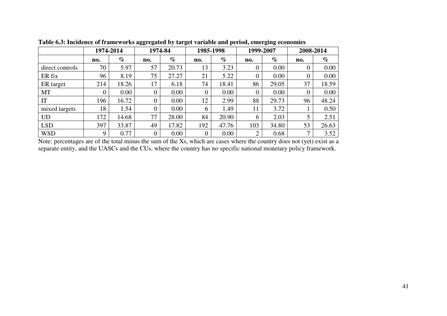|                 | 1974-2014 |       | 1974-84  |       | 1985-1998        |       |     | 1999-2007 | 2008-2014 |       |
|-----------------|-----------|-------|----------|-------|------------------|-------|-----|-----------|-----------|-------|
|                 | no.       | $\%$  | no.      | $\%$  | no.              | $\%$  | no. | $\%$      | no.       | $\%$  |
| direct controls | 70        | 5.97  | 57       | 20.73 | 13               | 3.23  |     | 0.00      | O         | 0.00  |
| ER fix          | 96        | 8.19  | 75       | 27.27 | 21               | 5.22  |     | 0.00      | $\theta$  | 0.00  |
| ER target       | 214       | 18.26 | 17       | 6.18  | 74               | 18.41 | 86  | 29.05     | 37        | 18.59 |
| <b>MT</b>       | 0         | 0.00  | 0        | 0.00  | $\boldsymbol{0}$ | 0.00  |     | 0.00      | 0         | 0.00  |
| IT              | 196       | 16.72 | $\Omega$ | 0.00  | 12               | 2.99  | 88  | 29.73     | 96        | 48.24 |
| mixed targets   | 18        | 1.54  | 0        | 0.00  | 6                | 1.49  | 11  | 3.72      |           | 0.50  |
| <b>UD</b>       | 172       | 14.68 | 77       | 28.00 | 84               | 20.90 | b   | 2.03      |           | 2.51  |
| <b>LSD</b>      | 397       | 33.87 | 49       | 17.82 | 192              | 47.76 | 103 | 34.80     | 53        | 26.63 |
| <b>WSD</b>      | 9         | 0.77  | 0        | 0.00  | $\boldsymbol{0}$ | 0.00  | ◠   | 0.68      | ⇁         | 3.52  |

**Table 6.3: Incidence of frameworks aggregated by target variable and period, emerging economies** 

Note: percentages are of the total minus the sum of the Xs, which are cases where the country does not (yet) exist as a separate entity, and the UASCs and the CUs, where the country has no specific national monetary policy framework.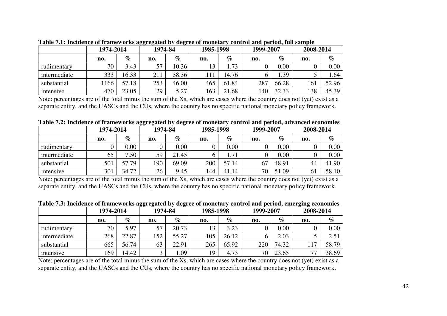|              | 1974-2014 |       | 1974-84 |       | 1985-1998 |           | 1999-2007 |       | 2008-2014      |       |
|--------------|-----------|-------|---------|-------|-----------|-----------|-----------|-------|----------------|-------|
|              | no.       | $\%$  | no.     | $\%$  | no.       | $\%$      | no.       | $\%$  | no.            | $\%$  |
| rudimentary  | 70        | 3.43  | 57      | 10.36 | 13        | 1.73      | υ         | 0.00  | $\overline{0}$ | 0.00  |
| intermediate | 333       | 16.33 | 211     | 38.36 | 111       | 14.76     |           | 1.39  |                | 1.64  |
| substantial  | 166       | 57.18 | 253     | 46.00 | 465       | 61.84     | 287       | 66.28 | 161            | 52.96 |
| intensive    | 470       | 23.05 | 29      | 5.27  | 163       | .68<br>21 | 140       | 32.33 | 138            | 45.39 |

**Table 7.1: Incidence of frameworks aggregated by degree of monetary control and period, full sample** 

Note: percentages are of the total minus the sum of the Xs, which are cases where the country does not (yet) exist as a separate entity, and the UASCs and the CUs, where the country has no specific national monetary policy framework.

**Table 7.2: Incidence of frameworks aggregated by degree of monetary control and period, advanced economies** 

|              | 1974-2014 |          | 1974-84 |       | 1985-1998 |       | 1999-2007 |       | 2008-2014 |       |
|--------------|-----------|----------|---------|-------|-----------|-------|-----------|-------|-----------|-------|
|              | no.       | %        | no.     | $\%$  | no.       | $\%$  | no.       | $\%$  | no.       | $\%$  |
| rudimentary  |           | $0.00\,$ |         | 0.00  |           | 0.00  |           | 0.00  |           | 0.00  |
| intermediate | 65        | .50<br>– | 59      | 21.45 |           | 1.71  |           | 0.00  |           | 0.00  |
| substantial  | 501       | 57.79    | 190     | 69.09 | 200       | 57.14 | 67        | 48.91 | 44        | 41.90 |
| intensive    | 301       | 34.72    | 26      | 9.45  | 144       | 41.14 | 70        | 51.09 | 61        | 58.10 |

Note: percentages are of the total minus the sum of the Xs, which are cases where the country does not (yet) exist as a separate entity, and the UASCs and the CUs, where the country has no specific national monetary policy framework.

|  | Table 7.3: Incidence of frameworks aggregated by degree of monetary control and period, emerging economies |  |  |  |
|--|------------------------------------------------------------------------------------------------------------|--|--|--|
|  |                                                                                                            |  |  |  |
|  |                                                                                                            |  |  |  |
|  |                                                                                                            |  |  |  |

|              |           |       | oo<br>$\overline{\phantom{a}}$ | $\overline{\phantom{a}}$ |           |       |           | $\sigma$ $\sigma$ |           |       |  |
|--------------|-----------|-------|--------------------------------|--------------------------|-----------|-------|-----------|-------------------|-----------|-------|--|
|              | 1974-2014 |       | 1974-84                        |                          | 1985-1998 |       | 1999-2007 |                   | 2008-2014 |       |  |
|              | no.       | $\%$  | no.                            | $\%$                     | no.       | $\%$  | no.       | $\%$              | no.       | $\%$  |  |
| rudimentary  | 70        | 5.97  | 57                             | 20.73                    | 13        | 3.23  |           | 0.00              |           | 0.00  |  |
| intermediate | 268       | 22.87 | 152                            | 55.27                    | 105       | 26.12 |           | 2.03              |           | 2.51  |  |
| substantial  | 665       | 56.74 | 63                             | 22.91                    | 265       | 65.92 | 220       | 74.32             | 17        | 58.79 |  |
| intensive    | 169       | 14.42 |                                | .09                      | 19        | 4.73  | 70        | 23.65             | 77        | 38.69 |  |

Note: percentages are of the total minus the sum of the Xs, which are cases where the country does not (yet) exist as a separate entity, and the UASCs and the CUs, where the country has no specific national monetary policy framework.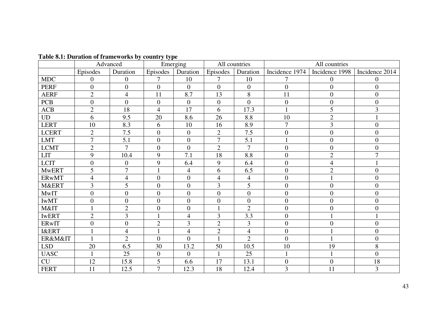| Table 8.1: Duration of frameworks by country type |
|---------------------------------------------------|
|---------------------------------------------------|

|                  | Advanced         |                          |                | Emerging         | All countries            |                |                |                  |                  |
|------------------|------------------|--------------------------|----------------|------------------|--------------------------|----------------|----------------|------------------|------------------|
|                  | Episodes         | Duration                 | Episodes       | Duration         | Episodes                 | Duration       | Incidence 1974 | Incidence 1998   | Incidence 2014   |
| <b>MDC</b>       | $\overline{0}$   | $\boldsymbol{0}$         | 7              | 10               | $\overline{7}$           | 10             | 7              | $\overline{0}$   | $\Omega$         |
| <b>PERF</b>      | $\overline{0}$   | $\boldsymbol{0}$         | $\overline{0}$ | $\overline{0}$   | $\overline{0}$           | $\overline{0}$ | $\overline{0}$ | $\overline{0}$   | $\boldsymbol{0}$ |
| <b>AERF</b>      | $\overline{2}$   | $\overline{4}$           | 11             | 8.7              | 13                       | 8              | 11             | $\theta$         | $\overline{0}$   |
| <b>PCB</b>       | $\overline{0}$   | $\overline{0}$           | $\overline{0}$ | $\overline{0}$   | $\overline{0}$           | $\overline{0}$ | $\overline{0}$ | $\boldsymbol{0}$ | $\boldsymbol{0}$ |
| ACB              | $\overline{2}$   | 18                       | $\overline{4}$ | 17               | 6                        | 17.3           | $\mathbf{1}$   | 5                | 3                |
| <b>UD</b>        | 6                | 9.5                      | 20             | 8.6              | 26                       | 8.8            | 10             | $\overline{2}$   |                  |
| <b>LERT</b>      | 10               | 8.3                      | 6              | 10               | 16                       | 8.9            | $\overline{7}$ | 3                | $\boldsymbol{0}$ |
| <b>LCERT</b>     | $\overline{2}$   | 7.5                      | $\overline{0}$ | $\overline{0}$   | $\overline{2}$           | 7.5            | $\overline{0}$ | $\overline{0}$   | $\boldsymbol{0}$ |
| <b>LMT</b>       | $\overline{7}$   | 5.1                      | $\overline{0}$ | $\overline{0}$   | $\overline{7}$           | 5.1            |                | $\overline{0}$   | $\overline{0}$   |
| <b>LCMT</b>      | $\overline{2}$   | $\overline{7}$           | $\overline{0}$ | $\overline{0}$   | $\overline{2}$           | $\overline{7}$ | $\overline{0}$ | $\overline{0}$   | $\overline{0}$   |
| <b>LIT</b>       | 9                | 10.4                     | 9              | 7.1              | 18                       | 8.8            | $\overline{0}$ | $\overline{2}$   | $\overline{7}$   |
| <b>LCIT</b>      | $\boldsymbol{0}$ | $\mathbf{0}$             | 9              | 6.4              | 9                        | 6.4            | $\overline{0}$ | $\overline{4}$   |                  |
| <b>MwERT</b>     | 5                | $\overline{7}$           |                | $\overline{4}$   | 6                        | 6.5            | $\overline{0}$ | $\overline{2}$   | $\overline{0}$   |
| <b>ERwMT</b>     | $\overline{4}$   | $\overline{\mathcal{A}}$ | $\overline{0}$ | $\overline{0}$   | $\overline{\mathcal{A}}$ | $\overline{4}$ | $\overline{0}$ | $\mathbf{1}$     | $\overline{0}$   |
| M&ERT            | $\overline{3}$   | 5                        | $\overline{0}$ | $\overline{0}$   | 3                        | 5              | $\overline{0}$ | $\overline{0}$   | $\overline{0}$   |
| <b>MwIT</b>      | $\overline{0}$   | $\boldsymbol{0}$         | $\overline{0}$ | $\boldsymbol{0}$ | $\overline{0}$           | $\overline{0}$ | $\overline{0}$ | $\overline{0}$   | $\overline{0}$   |
| <b>IWMT</b>      | $\overline{0}$   | $\overline{0}$           | $\overline{0}$ | $\overline{0}$   | $\overline{0}$           | $\overline{0}$ | $\overline{0}$ | $\overline{0}$   | $\overline{0}$   |
| M&IT             |                  | $\overline{2}$           | $\overline{0}$ | $\overline{0}$   |                          | $\overline{2}$ | $\overline{0}$ | $\boldsymbol{0}$ | $\boldsymbol{0}$ |
| <b>IWERT</b>     | $\overline{2}$   | 3                        |                | 4                | 3                        | 3.3            | $\overline{0}$ | $\mathbf{1}$     |                  |
| ERwIT            | $\boldsymbol{0}$ | $\boldsymbol{0}$         | $\overline{2}$ | 3                | $\overline{2}$           | 3              | $\mathbf{0}$   | $\boldsymbol{0}$ | $\boldsymbol{0}$ |
| <b>I&amp;ERT</b> |                  | $\overline{4}$           |                | $\overline{4}$   | $\overline{2}$           | $\overline{4}$ | $\mathbf{0}$   | 1                | $\overline{0}$   |
| ER&M&IT          |                  | $\overline{2}$           | $\overline{0}$ | $\overline{0}$   | $\mathbf{1}$             | $\overline{2}$ | $\overline{0}$ | $\mathbf{1}$     | $\overline{0}$   |
| <b>LSD</b>       | 20               | 6.5                      | 30             | 13.2             | 50                       | 10.5           | 10             | 19               | 8                |
| <b>UASC</b>      | 1                | 25                       | $\overline{0}$ | $\overline{0}$   | $\mathbf{1}$             | 25             |                | $\mathbf{1}$     | $\overline{0}$   |
| CU               | 12               | 15.8                     | 5              | 6.6              | 17                       | 13.1           | $\overline{0}$ | $\overline{0}$   | 18               |
| <b>FERT</b>      | 11               | 12.5                     | $\overline{7}$ | 12.3             | 18                       | 12.4           | $\overline{3}$ | 11               | $\overline{3}$   |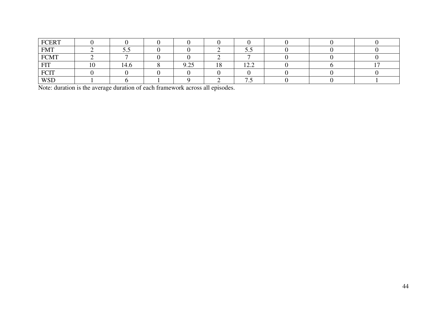| <b>FCERT</b>    |      |                |           |                                         |  |  |
|-----------------|------|----------------|-----------|-----------------------------------------|--|--|
| <b>FMT</b>      | JJ   |                |           | $\ddotsc$                               |  |  |
| ${\mbox{FCMT}}$ |      |                |           |                                         |  |  |
| <b>EIT</b>      | l4.0 | ሰ ሳሩ<br>ר – ∠ר | 1 O<br>10 | $1^{\wedge}$<br>$\perp$ $\perp$ $\perp$ |  |  |
| <b>FCIT</b>     |      |                |           |                                         |  |  |
| <b>WSD</b>      |      |                |           | $\cdot\cdot\cdot$                       |  |  |

Note: duration is the average duration of each framework across all episodes.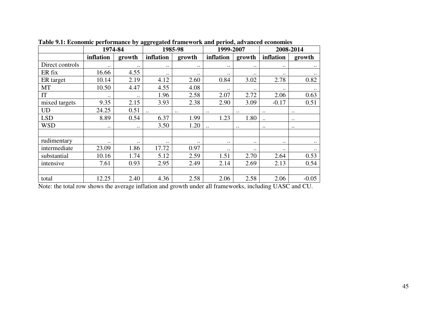|                 | 1974-84     |                    | ഄഄ                   | 1985-98      | 1999-2007   |               |                      | 2008-2014    |
|-----------------|-------------|--------------------|----------------------|--------------|-------------|---------------|----------------------|--------------|
|                 | inflation   | growth             | inflation            | growth       | inflation   | growth        | inflation            | growth       |
| Direct controls | $\cdot$ .   | $\bullet$ .        | $\cdot$ .            | $\bullet$ .  | $\bullet$ . | $\bullet$ .   | $\ddot{\phantom{0}}$ | $\ddotsc$    |
| ER fix          | 16.66       | 4.55               | $\ddot{\phantom{0}}$ | $\bullet$ .  | $\bullet$ . | $\bullet$ .   | $\ddot{\phantom{0}}$ | $\ddotsc$    |
| ER target       | 10.14       | 2.19               | 4.12                 | 2.60         | 0.84        | 3.02          | 2.78                 | 0.82         |
| <b>MT</b>       | 10.50       | 4.47               | 4.55                 | 4.08         |             |               | $\ddot{\phantom{0}}$ | $\ddotsc$    |
| IT              | $\ddotsc$   | $\bullet\,\bullet$ | 1.96                 | 2.58         | 2.07        | 2.72          | 2.06                 | 0.63         |
| mixed targets   | 9.35        | 2.15               | 3.93                 | 2.38         | 2.90        | 3.09          | $-0.17$              | 0.51         |
| <b>UD</b>       | 24.25       | 0.51               | $\ddot{\phantom{a}}$ | $\cdot\cdot$ | $\cdot$ .   | $\cdot\cdot$  | $\cdot$ .            | $\cdot\cdot$ |
| <b>LSD</b>      | 8.89        | 0.54               | 6.37                 | 1.99         | 1.23        | 1.80          | $\ddotsc$            | $\cdot\cdot$ |
| <b>WSD</b>      | $\ddotsc$   | $\ddotsc$          | 3.50                 | 1.20         | $\ddotsc$   | $\cdot \cdot$ | $\bullet$ .          | $\cdot\cdot$ |
|                 |             |                    |                      |              |             |               |                      |              |
| rudimentary     | $\bullet$ . | $\bullet\,\bullet$ | $\bullet$ .          | $\bullet$ .  | $\bullet$ . | $\bullet$ .   | $\ddot{\phantom{0}}$ | $\ddotsc$    |
| intermediate    | 23.09       | 1.86               | 17.72                | 0.97         | $\cdot$ .   | $\cdot$ .     | $\cdot$ .            | $\ldots$     |
| substantial     | 10.16       | 1.74               | 5.12                 | 2.59         | 1.51        | 2.70          | 2.64                 | 0.53         |
| intensive       | 7.61        | 0.93               | 2.95                 | 2.49         | 2.14        | 2.69          | 2.13                 | 0.54         |
|                 |             |                    |                      |              |             |               |                      |              |
| total           | 12.25       | 2.40               | 4.36                 | 2.58         | 2.06        | 2.58          | 2.06                 | $-0.05$      |

**Table 9.1: Economic performance by aggregated framework and period, advanced economies** 

Note: the total row shows the average inflation and growth under all frameworks, including UASC and CU.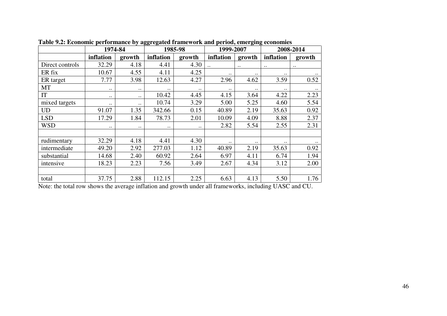|                 | 1974-84     |               |             | 1985-98   | 1999-2007          |              | 2008-2014   |             |
|-----------------|-------------|---------------|-------------|-----------|--------------------|--------------|-------------|-------------|
|                 | inflation   | growth        | inflation   | growth    | inflation          | growth       | inflation   | growth      |
| Direct controls | 32.29       | 4.18          | 4.41        | 4.30      | $\ddotsc$          | $\cdot$ .    | $\bullet$ . | $\cdot$ .   |
| ER fix          | 10.67       | 4.55          | 4.11        | 4.25      | $\bullet\,\bullet$ | $\ddotsc$    |             | $\ddotsc$   |
| ER target       | 7.77        | 3.98          | 12.63       | 4.27      | 2.96               | 4.62         | 3.59        | 0.52        |
| MT              | $\bullet$ . | $\cdot$ .     | $\bullet$ . | $\cdot$ . | $\bullet$ .        | $\ddotsc$    |             | $\ddotsc$   |
| IT              | $\cdot$ .   | $\cdot$ .     | 10.42       | 4.45      | 4.15               | 3.64         | 4.22        | 2.23        |
| mixed targets   | $\cdot$ .   | $\cdot \cdot$ | 10.74       | 3.29      | 5.00               | 5.25         | 4.60        | 5.54        |
| <b>UD</b>       | 91.07       | 1.35          | 342.66      | 0.15      | 40.89              | 2.19         | 35.63       | 0.92        |
| <b>LSD</b>      | 17.29       | 1.84          | 78.73       | 2.01      | 10.09              | 4.09         | 8.88        | 2.37        |
| <b>WSD</b>      | $\bullet$ . |               | $\bullet$ . |           | 2.82               | 5.54         | 2.55        | 2.31        |
|                 |             |               |             |           |                    |              |             |             |
| rudimentary     | 32.29       | 4.18          | 4.41        | 4.30      | $\cdot$ .          | $\cdot\cdot$ | $\cdot$ .   | $\bullet$ . |
| intermediate    | 49.20       | 2.92          | 277.03      | 1.12      | 40.89              | 2.19         | 35.63       | 0.92        |
| substantial     | 14.68       | 2.40          | 60.92       | 2.64      | 6.97               | 4.11         | 6.74        | 1.94        |
| intensive       | 18.23       | 2.23          | 7.56        | 3.49      | 2.67               | 4.34         | 3.12        | 2.00        |
|                 |             |               |             |           |                    |              |             |             |
| total           | 37.75       | 2.88          | 112.15      | 2.25      | 6.63               | 4.13         | 5.50        | 1.76        |

**Table 9.2: Economic performance by aggregated framework and period, emerging economies** 

Note: the total row shows the average inflation and growth under all frameworks, including UASC and CU.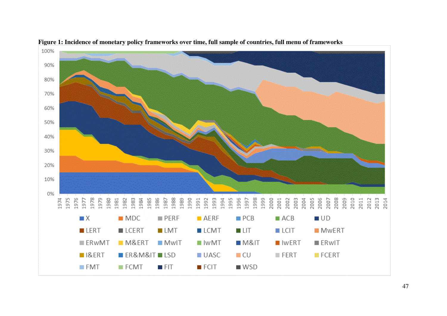

**Figure 1: Incidence of monetary policy frameworks over time, full sample of countries, full menu of frameworks**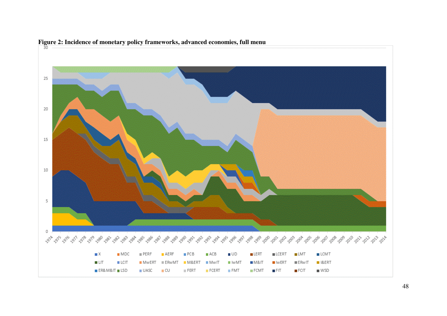

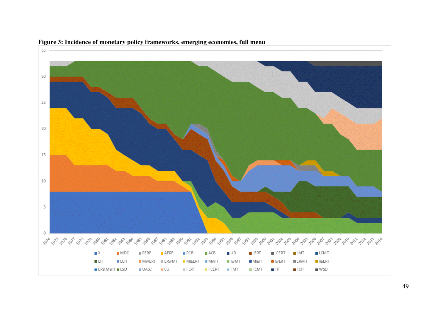

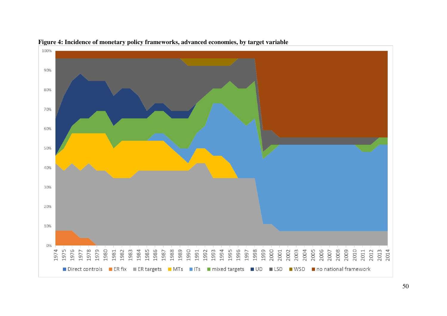

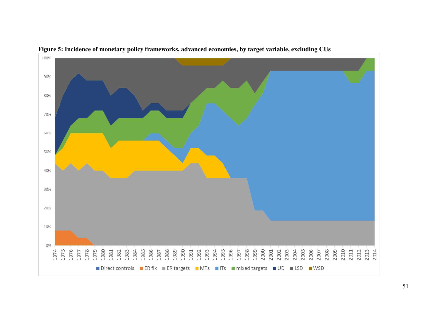

**Figure 5: Incidence of monetary policy frameworks, advanced economies, by target variable, excluding CUs**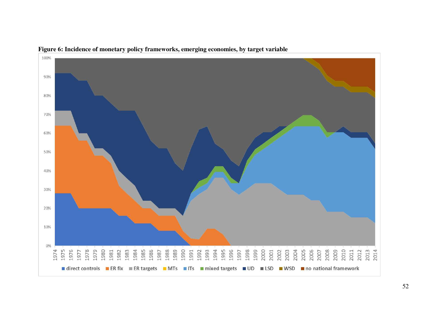

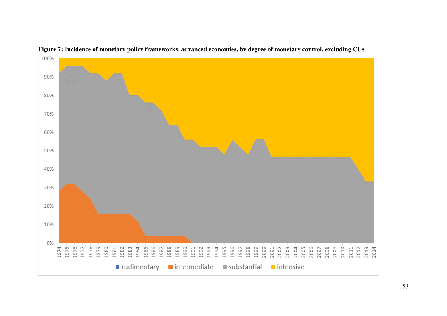